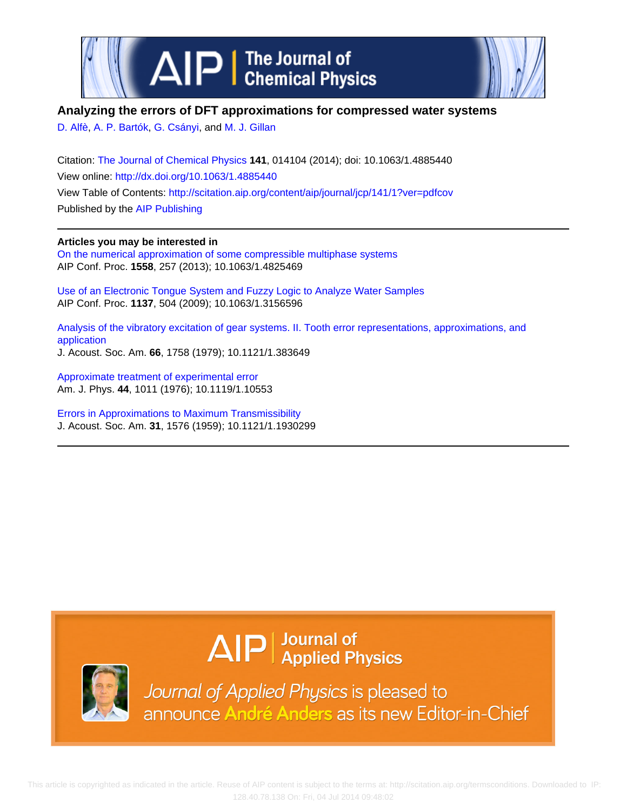

# **Analyzing the errors of DFT approximations for compressed water systems**

[D. Alfè](http://scitation.aip.org/search?value1=D.+Alf�&option1=author), [A. P. Bartók,](http://scitation.aip.org/search?value1=A.+P.+Bart�k&option1=author) [G. Csányi](http://scitation.aip.org/search?value1=G.+Cs�nyi&option1=author), and [M. J. Gillan](http://scitation.aip.org/search?value1=M.+J.+Gillan&option1=author)

Citation: [The Journal of Chemical Physics](http://scitation.aip.org/content/aip/journal/jcp?ver=pdfcov) **141**, 014104 (2014); doi: 10.1063/1.4885440 View online: <http://dx.doi.org/10.1063/1.4885440> View Table of Contents: <http://scitation.aip.org/content/aip/journal/jcp/141/1?ver=pdfcov> Published by the [AIP Publishing](http://scitation.aip.org/content/aip?ver=pdfcov)

**Articles you may be interested in** [On the numerical approximation of some compressible multiphase systems](http://scitation.aip.org/content/aip/proceeding/aipcp/10.1063/1.4825469?ver=pdfcov) AIP Conf. Proc. **1558**, 257 (2013); 10.1063/1.4825469

[Use of an Electronic Tongue System and Fuzzy Logic to Analyze Water Samples](http://scitation.aip.org/content/aip/proceeding/aipcp/10.1063/1.3156596?ver=pdfcov) AIP Conf. Proc. **1137**, 504 (2009); 10.1063/1.3156596

[Analysis of the vibratory excitation of gear systems. II. Tooth error representations, approximations, and](http://scitation.aip.org/content/asa/journal/jasa/66/6/10.1121/1.383649?ver=pdfcov) [application](http://scitation.aip.org/content/asa/journal/jasa/66/6/10.1121/1.383649?ver=pdfcov) J. Acoust. Soc. Am. **66**, 1758 (1979); 10.1121/1.383649

[Approximate treatment of experimental error](http://scitation.aip.org/content/aapt/journal/ajp/44/10/10.1119/1.10553?ver=pdfcov) Am. J. Phys. **44**, 1011 (1976); 10.1119/1.10553

[Errors in Approximations to Maximum Transmissibility](http://scitation.aip.org/content/asa/journal/jasa/31/11/10.1121/1.1930299?ver=pdfcov) J. Acoust. Soc. Am. **31**, 1576 (1959); 10.1121/1.1930299

# $\Delta$ IP  $\vert$  Journal of Applied Physics



Journal of Applied Physics is pleased to announce André Anders as its new Editor-in-Chief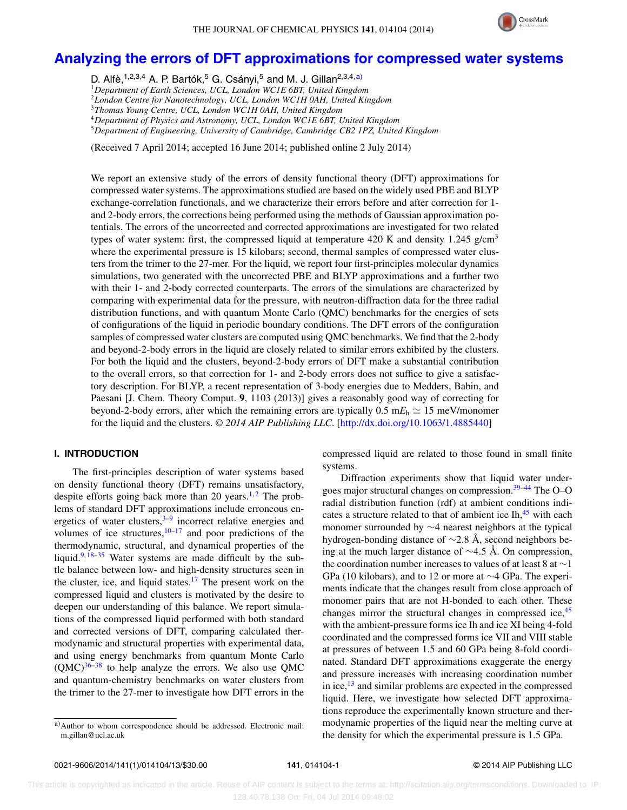

# **[Analyzing the errors of DFT approximations for compressed water systems](http://dx.doi.org/10.1063/1.4885440)**

D. Alfè,<sup>1,2,3,4</sup> A. P. Bartók,<sup>5</sup> G. Csányi,<sup>5</sup> and M. J. Gillan<sup>2,3,4[,a\)](#page-1-0)</sup>

<sup>1</sup>*Department of Earth Sciences, UCL, London WC1E 6BT, United Kingdom*

<sup>2</sup>*London Centre for Nanotechnology, UCL, London WC1H 0AH, United Kingdom*

<sup>3</sup>*Thomas Young Centre, UCL, London WC1H 0AH, United Kingdom*

<sup>4</sup>*Department of Physics and Astronomy, UCL, London WC1E 6BT, United Kingdom*

<sup>5</sup>*Department of Engineering, University of Cambridge, Cambridge CB2 1PZ, United Kingdom*

(Received 7 April 2014; accepted 16 June 2014; published online 2 July 2014)

We report an extensive study of the errors of density functional theory (DFT) approximations for compressed water systems. The approximations studied are based on the widely used PBE and BLYP exchange-correlation functionals, and we characterize their errors before and after correction for 1 and 2-body errors, the corrections being performed using the methods of Gaussian approximation potentials. The errors of the uncorrected and corrected approximations are investigated for two related types of water system: first, the compressed liquid at temperature 420 K and density 1.245 g/cm<sup>3</sup> where the experimental pressure is 15 kilobars; second, thermal samples of compressed water clusters from the trimer to the 27-mer. For the liquid, we report four first-principles molecular dynamics simulations, two generated with the uncorrected PBE and BLYP approximations and a further two with their 1- and 2-body corrected counterparts. The errors of the simulations are characterized by comparing with experimental data for the pressure, with neutron-diffraction data for the three radial distribution functions, and with quantum Monte Carlo (QMC) benchmarks for the energies of sets of configurations of the liquid in periodic boundary conditions. The DFT errors of the configuration samples of compressed water clusters are computed using QMC benchmarks. We find that the 2-body and beyond-2-body errors in the liquid are closely related to similar errors exhibited by the clusters. For both the liquid and the clusters, beyond-2-body errors of DFT make a substantial contribution to the overall errors, so that correction for 1- and 2-body errors does not suffice to give a satisfactory description. For BLYP, a recent representation of 3-body energies due to Medders, Babin, and Paesani [J. Chem. Theory Comput. **9**, 1103 (2013)] gives a reasonably good way of correcting for beyond-2-body errors, after which the remaining errors are typically  $0.5 \text{ m}E_h \simeq 15 \text{ m}$ eV/monomer for the liquid and the clusters. *© 2014 AIP Publishing LLC*. [\[http://dx.doi.org/10.1063/1.4885440\]](http://dx.doi.org/10.1063/1.4885440)

## **I. INTRODUCTION**

The first-principles description of water systems based on density functional theory (DFT) remains unsatisfactory, despite efforts going back more than [2](#page-12-1)0 years.<sup>1,2</sup> The problems of standard DFT approximations include erroneous energetics of water clusters, $3-9$  $3-9$  incorrect relative energies and volumes of ice structures, $10-17$  $10-17$  and poor predictions of the thermodynamic, structural, and dynamical properties of the liquid. $9,18-35$  $9,18-35$  $9,18-35$  Water systems are made difficult by the subtle balance between low- and high-density structures seen in the cluster, ice, and liquid states.<sup>17</sup> The present work on the compressed liquid and clusters is motivated by the desire to deepen our understanding of this balance. We report simulations of the compressed liquid performed with both standard and corrected versions of DFT, comparing calculated thermodynamic and structural properties with experimental data, and using energy benchmarks from quantum Monte Carlo  $(QMC)^{36-38}$  $(QMC)^{36-38}$  $(QMC)^{36-38}$  to help analyze the errors. We also use QMC and quantum-chemistry benchmarks on water clusters from the trimer to the 27-mer to investigate how DFT errors in the compressed liquid are related to those found in small finite systems.

Diffraction experiments show that liquid water undergoes major structural changes on compression.<sup>39-44</sup> The O-O radial distribution function (rdf) at ambient conditions indicates a structure related to that of ambient ice  $\text{In,}^{45}$  $\text{In,}^{45}$  $\text{In,}^{45}$  with each monomer surrounded by ∼4 nearest neighbors at the typical hydrogen-bonding distance of ∼2.8 Å, second neighbors being at the much larger distance of ∼4.5 Å. On compression, the coordination number increases to values of at least 8 at ∼1 GPa (10 kilobars), and to 12 or more at ∼4 GPa. The experiments indicate that the changes result from close approach of monomer pairs that are not H-bonded to each other. These changes mirror the structural changes in compressed ice,  $45$ with the ambient-pressure forms ice Ih and ice XI being 4-fold coordinated and the compressed forms ice VII and VIII stable at pressures of between 1.5 and 60 GPa being 8-fold coordinated. Standard DFT approximations exaggerate the energy and pressure increases with increasing coordination number in ice, $13$  and similar problems are expected in the compressed liquid. Here, we investigate how selected DFT approximations reproduce the experimentally known structure and thermodynamic properties of the liquid near the melting curve at the density for which the experimental pressure is 1.5 GPa.

<span id="page-1-0"></span>a)Author to whom correspondence should be addressed. Electronic mail: [m.gillan@ucl.ac.uk](mailto: m.gillan@ucl.ac.uk)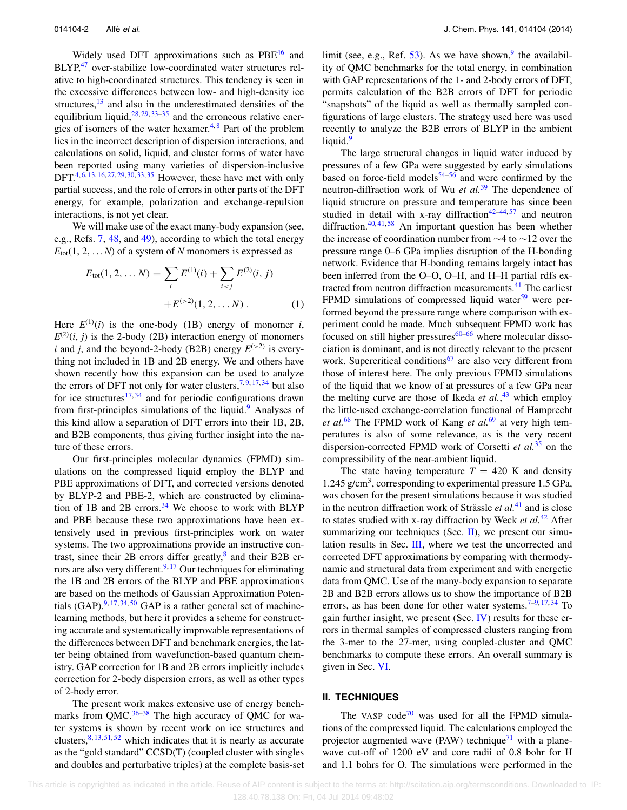Widely used DFT approximations such as PBE<sup>46</sup> and  $BLYP<sub>1</sub><sup>47</sup>$  $BLYP<sub>1</sub><sup>47</sup>$  $BLYP<sub>1</sub><sup>47</sup>$  over-stabilize low-coordinated water structures relative to high-coordinated structures. This tendency is seen in the excessive differences between low- and high-density ice structures, $13$  and also in the underestimated densities of the equilibrium liquid,  $28, 29, 33-35$  $28, 29, 33-35$  $28, 29, 33-35$  $28, 29, 33-35$  $28, 29, 33-35$  and the erroneous relative ener-gies of isomers of the water hexamer.<sup>[4,](#page-12-19)[8](#page-12-20)</sup> Part of the problem lies in the incorrect description of dispersion interactions, and calculations on solid, liquid, and cluster forms of water have been reported using many varieties of dispersion-inclusive DFT.<sup>[4,](#page-12-19) [6,](#page-12-21) [13,](#page-12-13) [16,](#page-12-22) [27,](#page-12-23) [29,](#page-12-17) [30,](#page-12-24) [33,](#page-12-18) [35](#page-12-7)</sup> However, these have met with only partial success, and the role of errors in other parts of the DFT energy, for example, polarization and exchange-repulsion interactions, is not yet clear.

We will make use of the exact many-body expansion (see, e.g., Refs. [7,](#page-12-25) [48,](#page-12-26) and [49\)](#page-12-27), according to which the total energy  $E_{\text{tot}}(1, 2, \ldots N)$  of a system of *N* monomers is expressed as

$$
E_{\text{tot}}(1, 2, \dots N) = \sum_{i} E^{(1)}(i) + \sum_{i < j} E^{(2)}(i, j) + E^{(3)}(1, 2, \dots N) \tag{1}
$$

Here  $E^{(1)}(i)$  is the one-body (1B) energy of monomer *i*,  $E^{(2)}(i, j)$  is the 2-body (2B) interaction energy of monomers *i* and *j*, and the beyond-2-body (B2B) energy  $E^{(>2)}$  is everything not included in 1B and 2B energy. We and others have shown recently how this expansion can be used to analyze the errors of DFT not only for water clusters,  $7,9,17,34$  $7,9,17,34$  $7,9,17,34$  $7,9,17,34$  but also for ice structures<sup>[17,](#page-12-5)[34](#page-12-28)</sup> and for periodic configurations drawn from first-principles simulations of the liquid.<sup>[9](#page-12-3)</sup> Analyses of this kind allow a separation of DFT errors into their 1B, 2B, and B2B components, thus giving further insight into the nature of these errors.

Our first-principles molecular dynamics (FPMD) simulations on the compressed liquid employ the BLYP and PBE approximations of DFT, and corrected versions denoted by BLYP-2 and PBE-2, which are constructed by elimina-tion of 1B and 2B errors.<sup>[34](#page-12-28)</sup> We choose to work with BLYP and PBE because these two approximations have been extensively used in previous first-principles work on water systems. The two approximations provide an instructive contrast, since their 2B errors differ greatly, $^8$  and their B2B er-rors are also very different.<sup>9, [17](#page-12-5)</sup> Our techniques for eliminating the 1B and 2B errors of the BLYP and PBE approximations are based on the methods of Gaussian Approximation Potentials  $(GAP)$ <sup>[9,](#page-12-3) [17,](#page-12-5) [34,](#page-12-28) [50](#page-12-29)</sup> GAP is a rather general set of machinelearning methods, but here it provides a scheme for constructing accurate and systematically improvable representations of the differences between DFT and benchmark energies, the latter being obtained from wavefunction-based quantum chemistry. GAP correction for 1B and 2B errors implicitly includes correction for 2-body dispersion errors, as well as other types of 2-body error.

The present work makes extensive use of energy benchmarks from  $QMC.^{36-38}$  $QMC.^{36-38}$  $QMC.^{36-38}$  The high accuracy of QMC for water systems is shown by recent work on ice structures and clusters,  $8, 13, 51, 52$  $8, 13, 51, 52$  $8, 13, 51, 52$  $8, 13, 51, 52$  $8, 13, 51, 52$  $8, 13, 51, 52$  $8, 13, 51, 52$  which indicates that it is nearly as accurate as the "gold standard" CCSD(T) (coupled cluster with singles and doubles and perturbative triples) at the complete basis-set limit (see, e.g., Ref.  $53$ ). As we have shown,<sup>[9](#page-12-3)</sup> the availability of QMC benchmarks for the total energy, in combination with GAP representations of the 1- and 2-body errors of DFT, permits calculation of the B2B errors of DFT for periodic "snapshots" of the liquid as well as thermally sampled configurations of large clusters. The strategy used here was used recently to analyze the B2B errors of BLYP in the ambient liquid.<sup>[9](#page-12-3)</sup>

The large structural changes in liquid water induced by pressures of a few GPa were suggested by early simulations based on force-field models $54-56$  $54-56$  and were confirmed by the neutron-diffraction work of Wu *et al.*[39](#page-12-10) The dependence of liquid structure on pressure and temperature has since been studied in detail with x-ray diffraction<sup>42[–44,](#page-12-11) [57](#page-12-36)</sup> and neutron diffraction. $40, 41, 58$  $40, 41, 58$  $40, 41, 58$  $40, 41, 58$  $40, 41, 58$  An important question has been whether the increase of coordination number from ∼4 to ∼12 over the pressure range 0–6 GPa implies disruption of the H-bonding network. Evidence that H-bonding remains largely intact has been inferred from the O–O, O–H, and H–H partial rdfs ex-tracted from neutron diffraction measurements.<sup>[41](#page-12-38)</sup> The earliest FPMD simulations of compressed liquid water $59$  were performed beyond the pressure range where comparison with experiment could be made. Much subsequent FPMD work has focused on still higher pressures $60-66$  $60-66$  where molecular dissociation is dominant, and is not directly relevant to the present work. Supercritical conditions<sup>[67](#page-12-43)</sup> are also very different from those of interest here. The only previous FPMD simulations of the liquid that we know of at pressures of a few GPa near the melting curve are those of Ikeda *et al.*, [43](#page-12-44) which employ the little-used exchange-correlation functional of Hamprecht *et al.*[68](#page-12-45) The FPMD work of Kang *et al.*[69](#page-12-46) at very high temperatures is also of some relevance, as is the very recent dispersion-corrected FPMD work of Corsetti *et al.*[35](#page-12-7) on the compressibility of the near-ambient liquid.

The state having temperature  $T = 420$  K and density 1.245 g/cm<sup>3</sup>, corresponding to experimental pressure 1.5 GPa, was chosen for the present simulations because it was studied in the neutron diffraction work of Strässle *et al.*[41](#page-12-38) and is close to states studied with x-ray diffraction by Weck *et al.*[42](#page-12-35) After summarizing our techniques (Sec. [II\)](#page-2-0), we present our simulation results in Sec. [III,](#page-4-0) where we test the uncorrected and corrected DFT approximations by comparing with thermodynamic and structural data from experiment and with energetic data from QMC. Use of the many-body expansion to separate 2B and B2B errors allows us to show the importance of B2B errors, as has been done for other water systems.<sup>7-[9,](#page-12-3) [17,](#page-12-5) [34](#page-12-28)</sup> To gain further insight, we present (Sec.  $\bf{IV}$ ) results for these errors in thermal samples of compressed clusters ranging from the 3-mer to the 27-mer, using coupled-cluster and QMC benchmarks to compute these errors. An overall summary is given in Sec. [VI.](#page-10-0)

#### <span id="page-2-0"></span>**II. TECHNIQUES**

The VASP code<sup>70</sup> was used for all the FPMD simulations of the compressed liquid. The calculations employed the projector augmented wave (PAW) technique<sup> $1$ </sup> with a planewave cut-off of 1200 eV and core radii of 0.8 bohr for H and 1.1 bohrs for O. The simulations were performed in the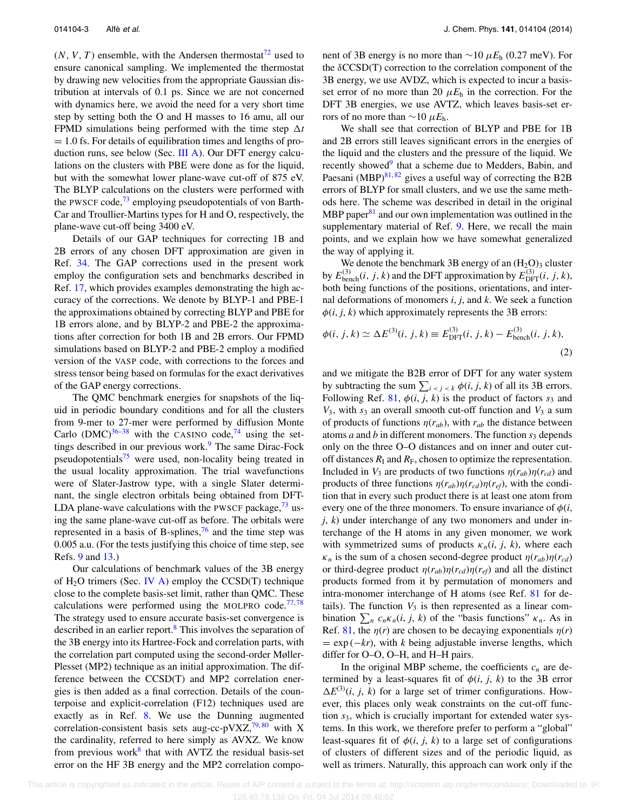$(N, V, T)$  ensemble, with the Andersen thermostat<sup>72</sup> used to ensure canonical sampling. We implemented the thermostat by drawing new velocities from the appropriate Gaussian distribution at intervals of 0.1 ps. Since we are not concerned with dynamics here, we avoid the need for a very short time step by setting both the O and H masses to 16 amu, all our FPMD simulations being performed with the time step  $\Delta t$  $= 1.0$  fs. For details of equilibration times and lengths of production runs, see below (Sec. [III A\)](#page-4-1). Our DFT energy calculations on the clusters with PBE were done as for the liquid, but with the somewhat lower plane-wave cut-off of 875 eV. The BLYP calculations on the clusters were performed with the PWSCF code,  $^{73}$  employing pseudopotentials of von Barth-Car and Troullier-Martins types for H and O, respectively, the plane-wave cut-off being 3400 eV.

Details of our GAP techniques for correcting 1B and 2B errors of any chosen DFT approximation are given in Ref. [34.](#page-12-28) The GAP corrections used in the present work employ the configuration sets and benchmarks described in Ref. [17,](#page-12-5) which provides examples demonstrating the high accuracy of the corrections. We denote by BLYP-1 and PBE-1 the approximations obtained by correcting BLYP and PBE for 1B errors alone, and by BLYP-2 and PBE-2 the approximations after correction for both 1B and 2B errors. Our FPMD simulations based on BLYP-2 and PBE-2 employ a modified version of the VASP code, with corrections to the forces and stress tensor being based on formulas for the exact derivatives of the GAP energy corrections.

The QMC benchmark energies for snapshots of the liquid in periodic boundary conditions and for all the clusters from 9-mer to 27-mer were performed by diffusion Monte Carlo (DMC)<sup>[36](#page-12-8)[–38](#page-12-9)</sup> with the CASINO code,<sup>74</sup> using the settings described in our previous work. $9$  The same Dirac-Fock pseudopotentials<sup>[75](#page-12-52)</sup> were used, non-locality being treated in the usual locality approximation. The trial wavefunctions were of Slater-Jastrow type, with a single Slater determinant, the single electron orbitals being obtained from DFT-LDA plane-wave calculations with the PWSCF package,  $73$  using the same plane-wave cut-off as before. The orbitals were represented in a basis of B-splines,  $\frac{76}{10}$  $\frac{76}{10}$  $\frac{76}{10}$  and the time step was 0.005 a.u. (For the tests justifying this choice of time step, see Refs. [9](#page-12-3) and [13.](#page-12-13))

Our calculations of benchmark values of the 3B energy of  $H_2O$  trimers (Sec. [IV A\)](#page-7-1) employ the CCSD(T) technique close to the complete basis-set limit, rather than QMC. These calculations were performed using the MOLPRO code. $77,78$  $77,78$ The strategy used to ensure accurate basis-set convergence is described in an earlier report.<sup>8</sup> This involves the separation of the 3B energy into its Hartree-Fock and correlation parts, with the correlation part computed using the second-order Møller-Plesset (MP2) technique as an initial approximation. The difference between the CCSD(T) and MP2 correlation energies is then added as a final correction. Details of the counterpoise and explicit-correlation (F12) techniques used are exactly as in Ref. [8.](#page-12-20) We use the Dunning augmented correlation-consistent basis sets aug-cc-pVXZ,<sup>79,[80](#page-12-57)</sup> with X the cardinality, referred to here simply as AVXZ. We know from previous work $8$  that with AVTZ the residual basis-set error on the HF 3B energy and the MP2 correlation component of 3B energy is no more than ∼10 *μE*<sup>h</sup> (0.27 meV). For the *δ*CCSD(T) correction to the correlation component of the 3B energy, we use AVDZ, which is expected to incur a basisset error of no more than 20  $\mu E_h$  in the correction. For the DFT 3B energies, we use AVTZ, which leaves basis-set errors of no more than  $\sim$ 10  $\mu$ *E*<sub>h</sub>.

We shall see that correction of BLYP and PBE for 1B and 2B errors still leaves significant errors in the energies of the liquid and the clusters and the pressure of the liquid. We recently showed<sup>9</sup> that a scheme due to Medders, Babin, and Paesani (MBP) $81, 82$  $81, 82$  $81, 82$  gives a useful way of correcting the B2B errors of BLYP for small clusters, and we use the same methods here. The scheme was described in detail in the original MBP paper $81$  and our own implementation was outlined in the supplementary material of Ref. [9.](#page-12-3) Here, we recall the main points, and we explain how we have somewhat generalized the way of applying it.

We denote the benchmark 3B energy of an  $(H_2O)_3$  cluster by  $E_{\text{bench}}^{(3)}(i, j, k)$  and the DFT approximation by  $E_{\text{DFT}}^{(3)}(i, j, k)$ , both being functions of the positions, orientations, and internal deformations of monomers *i*, *j*, and *k*. We seek a function  $\phi(i, j, k)$  which approximately represents the 3B errors:

$$
\phi(i, j, k) \simeq \Delta E^{(3)}(i, j, k) \equiv E_{\text{DFT}}^{(3)}(i, j, k) - E_{\text{bench}}^{(3)}(i, j, k),
$$
\n(2)

and we mitigate the B2B error of DFT for any water system by subtracting the sum  $\sum_{i \le j \le k} \phi(i, j, k)$  of all its 3B errors. Following Ref. [81,](#page-12-58)  $\phi(i, j, k)$  is the product of factors  $s_3$  and  $V_3$ , with  $s_3$  an overall smooth cut-off function and  $V_3$  a sum of products of functions  $\eta(r_{ab})$ , with  $r_{ab}$  the distance between atoms *a* and *b* in different monomers. The function  $s_3$  depends only on the three O–O distances and on inner and outer cutoff distances  $R_I$  and  $R_F$ , chosen to optimize the representation. Included in  $V_3$  are products of two functions  $\eta(r_{ab})\eta(r_{cd})$  and products of three functions  $\eta(r_{ab})\eta(r_{cd})\eta(r_{ef})$ , with the condition that in every such product there is at least one atom from every one of the three monomers. To ensure invariance of  $\phi(i,$ *j*, *k*) under interchange of any two monomers and under interchange of the H atoms in any given monomer, we work with symmetrized sums of products  $\kappa_n(i, j, k)$ , where each  $\kappa_n$  is the sum of a chosen second-degree product  $\eta(r_{ab})\eta(r_{cd})$ or third-degree product  $\eta(r_{ab})\eta(r_{cd})\eta(r_{ef})$  and all the distinct products formed from it by permutation of monomers and intra-monomer interchange of H atoms (see Ref. [81](#page-12-58) for details). The function  $V_3$  is then represented as a linear combination  $\sum_{n} c_n \kappa_n(i, j, k)$  of the "basis functions"  $\kappa_n$ . As in Ref. [81,](#page-12-58) the  $\eta(r)$  are chosen to be decaying exponentials  $\eta(r)$  $= \exp(-kr)$ , with *k* being adjustable inverse lengths, which differ for O–O, O–H, and H–H pairs.

In the original MBP scheme, the coefficients  $c_n$  are determined by a least-squares fit of  $\phi(i, j, k)$  to the 3B error  $\Delta E^{(3)}(i, j, k)$  for a large set of trimer configurations. However, this places only weak constraints on the cut-off function *s*3, which is crucially important for extended water systems. In this work, we therefore prefer to perform a "global" least-squares fit of  $\phi(i, j, k)$  to a large set of configurations of clusters of different sizes and of the periodic liquid, as well as trimers. Naturally, this approach can work only if the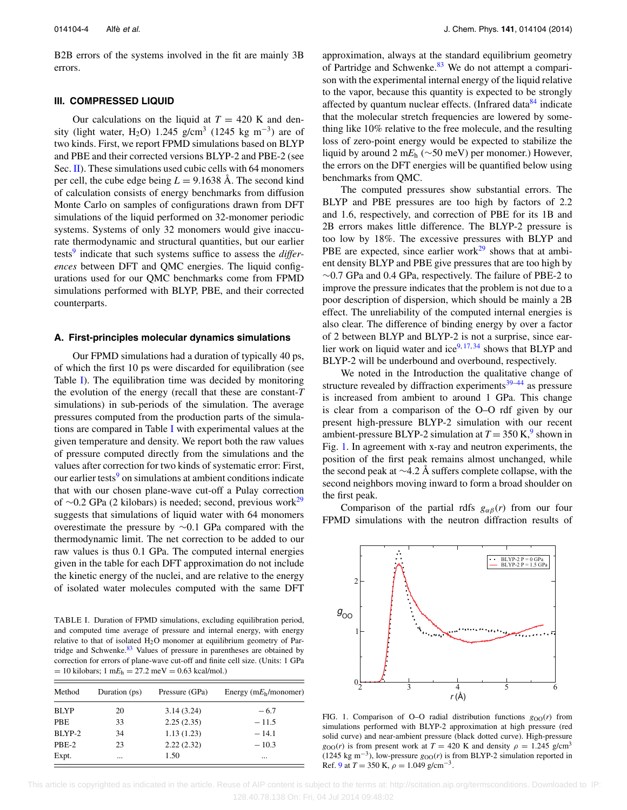B2B errors of the systems involved in the fit are mainly 3B errors.

## <span id="page-4-0"></span>**III. COMPRESSED LIQUID**

Our calculations on the liquid at  $T = 420$  K and density (light water, H<sub>2</sub>O) 1.245 g/cm<sup>3</sup> (1245 kg m<sup>-3</sup>) are of two kinds. First, we report FPMD simulations based on BLYP and PBE and their corrected versions BLYP-2 and PBE-2 (see Sec.  $\Pi$ ). These simulations used cubic cells with 64 monomers per cell, the cube edge being  $L = 9.1638$  Å. The second kind of calculation consists of energy benchmarks from diffusion Monte Carlo on samples of configurations drawn from DFT simulations of the liquid performed on 32-monomer periodic systems. Systems of only 32 monomers would give inaccurate thermodynamic and structural quantities, but our earlier tests[9](#page-12-3) indicate that such systems suffice to assess the *differences* between DFT and QMC energies. The liquid configurations used for our QMC benchmarks come from FPMD simulations performed with BLYP, PBE, and their corrected counterparts.

#### <span id="page-4-1"></span>**A. First-principles molecular dynamics simulations**

Our FPMD simulations had a duration of typically 40 ps, of which the first 10 ps were discarded for equilibration (see Table [I\)](#page-4-2). The equilibration time was decided by monitoring the evolution of the energy (recall that these are constant-*T* simulations) in sub-periods of the simulation. The average pressures computed from the production parts of the simulations are compared in Table [I](#page-4-2) with experimental values at the given temperature and density. We report both the raw values of pressure computed directly from the simulations and the values after correction for two kinds of systematic error: First, our earlier tests<sup>[9](#page-12-3)</sup> on simulations at ambient conditions indicate that with our chosen plane-wave cut-off a Pulay correction of ∼0.2 GPa (2 kilobars) is needed; second, previous work<sup>29</sup> suggests that simulations of liquid water with 64 monomers overestimate the pressure by ∼0.1 GPa compared with the thermodynamic limit. The net correction to be added to our raw values is thus 0.1 GPa. The computed internal energies given in the table for each DFT approximation do not include the kinetic energy of the nuclei, and are relative to the energy of isolated water molecules computed with the same DFT

<span id="page-4-2"></span>TABLE I. Duration of FPMD simulations, excluding equilibration period, and computed time average of pressure and internal energy, with energy relative to that of isolated  $H_2O$  monomer at equilibrium geometry of Partridge and Schwenke. $83$  Values of pressure in parentheses are obtained by correction for errors of plane-wave cut-off and finite cell size. (Units: 1 GPa  $= 10$  kilobars; 1 m $E_h = 27.2$  meV  $= 0.63$  kcal/mol.)

| Method      | Duration (ps) | Pressure (GPa) | Energy ( $mE_h/monomer$ ) |
|-------------|---------------|----------------|---------------------------|
| <b>BLYP</b> | 20            | 3.14(3.24)     | $-6.7$                    |
| <b>PBE</b>  | 33            | 2.25(2.35)     | $-11.5$                   |
| BLYP-2      | 34            | 1.13(1.23)     | $-14.1$                   |
| PBE-2       | 23            | 2.22(2.32)     | $-10.3$                   |
| Expt.       | $\cdots$      | 1.50           | $\cdots$                  |

approximation, always at the standard equilibrium geometry of Partridge and Schwenke.<sup>[83](#page-13-1)</sup> We do not attempt a comparison with the experimental internal energy of the liquid relative to the vapor, because this quantity is expected to be strongly affected by quantum nuclear effects. (Infrared data<sup>[84](#page-13-2)</sup> indicate that the molecular stretch frequencies are lowered by something like 10% relative to the free molecule, and the resulting loss of zero-point energy would be expected to stabilize the liquid by around 2 m*E*<sup>h</sup> (∼50 meV) per monomer.) However, the errors on the DFT energies will be quantified below using benchmarks from QMC.

The computed pressures show substantial errors. The BLYP and PBE pressures are too high by factors of 2.2 and 1.6, respectively, and correction of PBE for its 1B and 2B errors makes little difference. The BLYP-2 pressure is too low by 18%. The excessive pressures with BLYP and PBE are expected, since earlier work $29$  shows that at ambient density BLYP and PBE give pressures that are too high by ∼0.7 GPa and 0.4 GPa, respectively. The failure of PBE-2 to improve the pressure indicates that the problem is not due to a poor description of dispersion, which should be mainly a 2B effect. The unreliability of the computed internal energies is also clear. The difference of binding energy by over a factor of 2 between BLYP and BLYP-2 is not a surprise, since earlier work on liquid water and ice $9,17,34$  $9,17,34$  $9,17,34$  shows that BLYP and BLYP-2 will be underbound and overbound, respectively.

We noted in the Introduction the qualitative change of structure revealed by diffraction experiments $39-44$  $39-44$  as pressure is increased from ambient to around 1 GPa. This change is clear from a comparison of the O–O rdf given by our present high-pressure BLYP-2 simulation with our recent ambient-pressure BLYP-2 simulation at  $T = 350 \text{ K}$ , shown in Fig. [1.](#page-4-3) In agreement with x-ray and neutron experiments, the position of the first peak remains almost unchanged, while the second peak at ∼4.2 Å suffers complete collapse, with the second neighbors moving inward to form a broad shoulder on the first peak.

Comparison of the partial rdfs  $g_{\alpha\beta}(r)$  from our four FPMD simulations with the neutron diffraction results of

<span id="page-4-3"></span>

FIG. 1. Comparison of O–O radial distribution functions  $g_{OO}(r)$  from simulations performed with BLYP-2 approximation at high pressure (red solid curve) and near-ambient pressure (black dotted curve). High-pressure  $g_{OO}(r)$  is from present work at  $T = 420$  K and density  $\rho = 1.245$  g/cm<sup>3</sup> (1245 kg m<sup>-3</sup>), low-pressure  $g_{OO}(r)$  is from BLYP-2 simulation reported in Ref. [9](#page-12-3) at  $T = 350$  K,  $\rho = 1.049$  g/cm<sup>-3</sup>.

 This article is copyrighted as indicated in the article. Reuse of AIP content is subject to the terms at: http://scitation.aip.org/termsconditions. Downloaded to IP: 128.40.78.138 On: Fri, 04 Jul 2014 09:48:02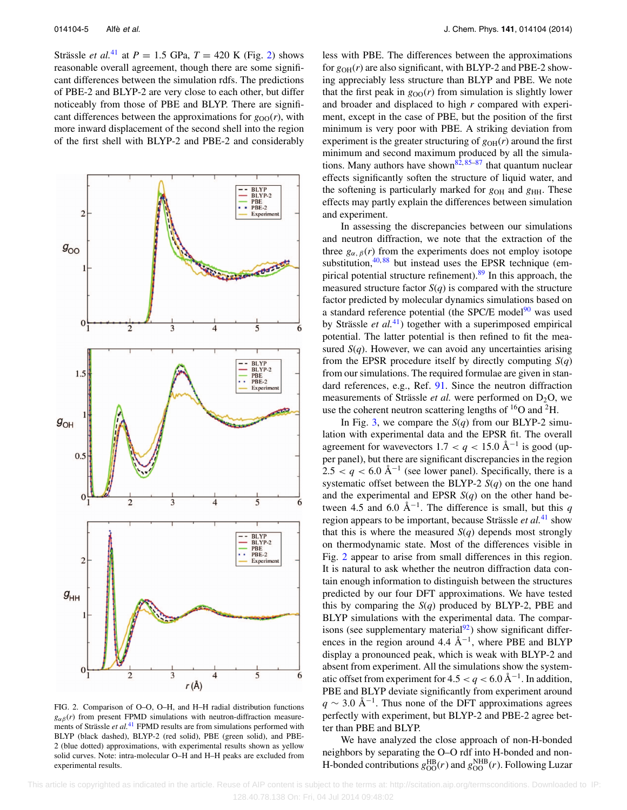Strässle *et al.*<sup>[41](#page-12-38)</sup> at  $P = 1.5$  GPa,  $T = 420$  K (Fig. [2\)](#page-5-0) shows reasonable overall agreement, though there are some significant differences between the simulation rdfs. The predictions of PBE-2 and BLYP-2 are very close to each other, but differ noticeably from those of PBE and BLYP. There are significant differences between the approximations for  $g_{OO}(r)$ , with more inward displacement of the second shell into the region of the first shell with BLYP-2 and PBE-2 and considerably

<span id="page-5-0"></span>

FIG. 2. Comparison of O–O, O–H, and H–H radial distribution functions  $g_{\alpha\beta}(r)$  from present FPMD simulations with neutron-diffraction measurements of Strässle *et al.*<sup>[41](#page-12-38)</sup> FPMD results are from simulations performed with BLYP (black dashed), BLYP-2 (red solid), PBE (green solid), and PBE-2 (blue dotted) approximations, with experimental results shown as yellow solid curves. Note: intra-molecular O–H and H–H peaks are excluded from experimental results.

less with PBE. The differences between the approximations for  $g_{OH}(r)$  are also significant, with BLYP-2 and PBE-2 showing appreciably less structure than BLYP and PBE. We note that the first peak in  $g_{OO}(r)$  from simulation is slightly lower and broader and displaced to high *r* compared with experiment, except in the case of PBE, but the position of the first minimum is very poor with PBE. A striking deviation from experiment is the greater structuring of  $g_{OH}(r)$  around the first minimum and second maximum produced by all the simula-tions. Many authors have shown<sup>82, [85](#page-13-3)[–87](#page-13-4)</sup> that quantum nuclear effects significantly soften the structure of liquid water, and the softening is particularly marked for  $g_{OH}$  and  $g_{HH}$ . These effects may partly explain the differences between simulation and experiment.

In assessing the discrepancies between our simulations and neutron diffraction, we note that the extraction of the three  $g_{\alpha, \beta}(r)$  from the experiments does not employ isotope substitution, $40,88$  $40,88$  but instead uses the EPSR technique (empirical potential structure refinement).<sup>89</sup> In this approach, the measured structure factor  $S(q)$  is compared with the structure factor predicted by molecular dynamics simulations based on a standard reference potential (the SPC/E model $90$  was used by Strässle *et al.*[41\)](#page-12-38) together with a superimposed empirical potential. The latter potential is then refined to fit the measured  $S(q)$ . However, we can avoid any uncertainties arising from the EPSR procedure itself by directly computing  $S(q)$ from our simulations. The required formulae are given in standard references, e.g., Ref. [91.](#page-13-8) Since the neutron diffraction measurements of Strässle *et al.* were performed on  $D_2O$ , we use the coherent neutron scattering lengths of  $^{16}O$  and  $^{2}H$ .

In Fig. [3,](#page-6-0) we compare the  $S(q)$  from our BLYP-2 simulation with experimental data and the EPSR fit. The overall agreement for wavevectors  $1.7 < q < 15.0$  Å<sup>-1</sup> is good (upper panel), but there are significant discrepancies in the region  $2.5 < q < 6.0$  Å<sup>-1</sup> (see lower panel). Specifically, there is a systematic offset between the BLYP-2 *S*(*q*) on the one hand and the experimental and EPSR *S*(*q*) on the other hand between 4.5 and 6.0 Å<sup> $-1$ </sup>. The difference is small, but this *q* region appears to be important, because Strässle *et al.*[41](#page-12-38) show that this is where the measured  $S(q)$  depends most strongly on thermodynamic state. Most of the differences visible in Fig. [2](#page-5-0) appear to arise from small differences in this region. It is natural to ask whether the neutron diffraction data contain enough information to distinguish between the structures predicted by our four DFT approximations. We have tested this by comparing the *S*(*q*) produced by BLYP-2, PBE and BLYP simulations with the experimental data. The comparisons (see supplementary material $^{92}$ ) show significant differences in the region around 4.4 Å−1, where PBE and BLYP display a pronounced peak, which is weak with BLYP-2 and absent from experiment. All the simulations show the systematic offset from experiment for  $4.5 < q < 6.0$  Å<sup>-1</sup>. In addition, PBE and BLYP deviate significantly from experiment around  $q \sim 3.0 \text{ Å}^{-1}$ . Thus none of the DFT approximations agrees perfectly with experiment, but BLYP-2 and PBE-2 agree better than PBE and BLYP.

We have analyzed the close approach of non-H-bonded neighbors by separating the O–O rdf into H-bonded and non-H-bonded contributions  $g_{OO}^{HB}(r)$  and  $g_{OO}^{NHB}(r)$ . Following Luzar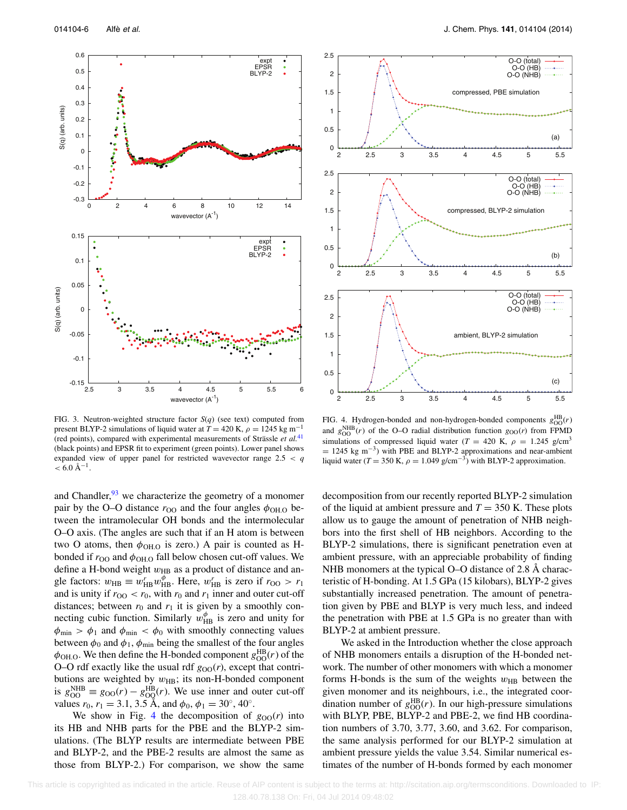<span id="page-6-0"></span>

<span id="page-6-1"></span>1 1.5 2 2.5



FIG. 3. Neutron-weighted structure factor *S*(*q*) (see text) computed from present BLYP-2 simulations of liquid water at  $T = 420$  K,  $\rho = 1245$  kg m<sup>-1</sup> (red points), compared with experimental measurements of Strässle *et al.*[41](#page-12-38) (black points) and EPSR fit to experiment (green points). Lower panel shows expanded view of upper panel for restricted wavevector range 2.5 *< q*  $< 6.0$  Å<sup>-1</sup>.

and Chandler,  $93$  we characterize the geometry of a monomer pair by the O–O distance  $r_{\text{OO}}$  and the four angles  $\phi_{\text{OH.O}}$  between the intramolecular OH bonds and the intermolecular O–O axis. (The angles are such that if an H atom is between two O atoms, then  $\phi_{\text{OH.O}}$  is zero.) A pair is counted as Hbonded if  $r_{\text{OO}}$  and  $\phi_{\text{OH.O}}$  fall below chosen cut-off values. We define a H-bond weight  $w_{HB}$  as a product of distance and angle factors:  $w_{\text{HB}} \equiv w_{\text{HB}}^r w_{\text{HB}}^{\phi}$ . Here,  $w_{\text{HB}}^r$  is zero if  $r_{\text{OO}} > r_1$ and is unity if  $r_{OO} < r_0$ , with  $r_0$  and  $r_1$  inner and outer cut-off distances; between  $r_0$  and  $r_1$  it is given by a smoothly connecting cubic function. Similarly  $w_{HB}^{\phi}$  is zero and unity for  $\phi_{\text{min}} > \phi_1$  and  $\phi_{\text{min}} < \phi_0$  with smoothly connecting values between  $\phi_0$  and  $\phi_1$ ,  $\phi_{\text{min}}$  being the smallest of the four angles  $\phi_{\text{OH.O}}$ . We then define the H-bonded component  $g_{\text{OO}}^{\text{HB}}(r)$  of the O–O rdf exactly like the usual rdf  $g_{OO}(r)$ , except that contributions are weighted by  $w_{\text{HB}}$ ; its non-H-bonded component is  $g_{OO}^{\text{NHB}} \equiv g_{OO}(r) - g_{OO}^{\text{HB}}(r)$ . We use inner and outer cut-off values  $r_0$ ,  $r_1 = 3.1$ , 3.5 Å, and  $\phi_0$ ,  $\phi_1 = 30^\circ$ , 40°.

We show in Fig. [4](#page-6-1) the decomposition of  $g_{OO}(r)$  into its HB and NHB parts for the PBE and the BLYP-2 simulations. (The BLYP results are intermediate between PBE and BLYP-2, and the PBE-2 results are almost the same as those from BLYP-2.) For comparison, we show the same

O-O (total) O-O (HB) O-O (NHB)

compressed, PBE simulation

FIG. 4. Hydrogen-bonded and non-hydrogen-bonded components  $g_{OO}^{HB}(r)$ and  $g_{OO}^{\text{NHB}}(r)$  of the O–O radial distribution function  $g_{OO}(r)$  from FPMD simulations of compressed liquid water ( $T = 420$  K,  $\rho = 1.245$  g/cm<sup>3</sup>  $= 1245$  kg m<sup>-3</sup>) with PBE and BLYP-2 approximations and near-ambient liquid water ( $T = 350$  K,  $\rho = 1.049$  g/cm<sup>-3</sup>) with BLYP-2 approximation.

decomposition from our recently reported BLYP-2 simulation of the liquid at ambient pressure and  $T = 350$  K. These plots allow us to gauge the amount of penetration of NHB neighbors into the first shell of HB neighbors. According to the BLYP-2 simulations, there is significant penetration even at ambient pressure, with an appreciable probability of finding NHB monomers at the typical O–O distance of 2.8 Å characteristic of H-bonding. At 1.5 GPa (15 kilobars), BLYP-2 gives substantially increased penetration. The amount of penetration given by PBE and BLYP is very much less, and indeed the penetration with PBE at 1.5 GPa is no greater than with BLYP-2 at ambient pressure.

We asked in the Introduction whether the close approach of NHB monomers entails a disruption of the H-bonded network. The number of other monomers with which a monomer forms H-bonds is the sum of the weights  $w_{HB}$  between the given monomer and its neighbours, i.e., the integrated coordination number of  $g_{OO}^{HB}(r)$ . In our high-pressure simulations with BLYP, PBE, BLYP-2 and PBE-2, we find HB coordination numbers of 3.70, 3.77, 3.60, and 3.62. For comparison, the same analysis performed for our BLYP-2 simulation at ambient pressure yields the value 3.54. Similar numerical estimates of the number of H-bonds formed by each monomer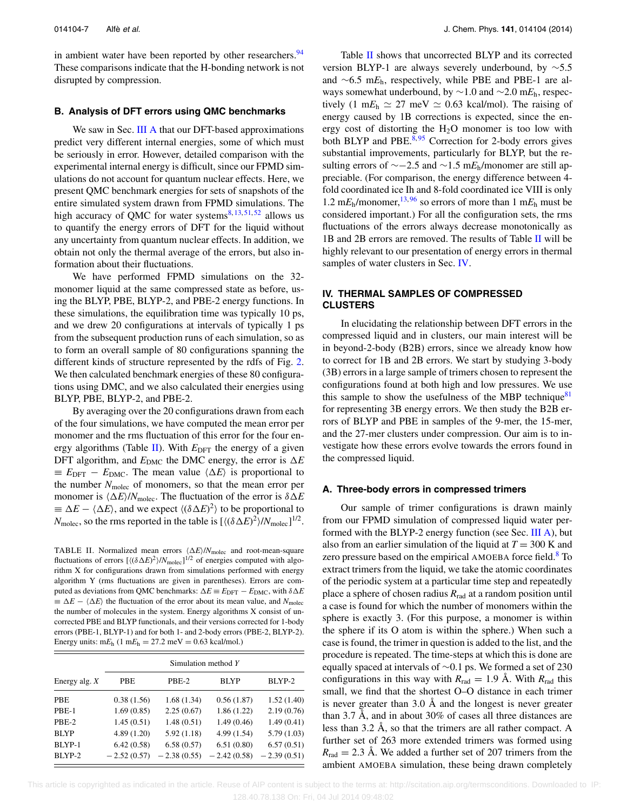in ambient water have been reported by other researchers.<sup>94</sup> These comparisons indicate that the H-bonding network is not disrupted by compression.

#### **B. Analysis of DFT errors using QMC benchmarks**

We saw in Sec. [III A](#page-4-1) that our DFT-based approximations predict very different internal energies, some of which must be seriously in error. However, detailed comparison with the experimental internal energy is difficult, since our FPMD simulations do not account for quantum nuclear effects. Here, we present QMC benchmark energies for sets of snapshots of the entire simulated system drawn from FPMD simulations. The high accuracy of QMC for water systems $8,13,51,52$  $8,13,51,52$  $8,13,51,52$  $8,13,51,52$  allows us to quantify the energy errors of DFT for the liquid without any uncertainty from quantum nuclear effects. In addition, we obtain not only the thermal average of the errors, but also information about their fluctuations.

We have performed FPMD simulations on the 32 monomer liquid at the same compressed state as before, using the BLYP, PBE, BLYP-2, and PBE-2 energy functions. In these simulations, the equilibration time was typically 10 ps, and we drew 20 configurations at intervals of typically 1 ps from the subsequent production runs of each simulation, so as to form an overall sample of 80 configurations spanning the different kinds of structure represented by the rdfs of Fig. [2.](#page-5-0) We then calculated benchmark energies of these 80 configurations using DMC, and we also calculated their energies using BLYP, PBE, BLYP-2, and PBE-2.

By averaging over the 20 configurations drawn from each of the four simulations, we have computed the mean error per monomer and the rms fluctuation of this error for the four en-ergy algorithms (Table [II\)](#page-7-2). With  $E_{\text{DFT}}$  the energy of a given DFT algorithm, and  $E_{\text{DMC}}$  the DMC energy, the error is  $\Delta E$  $\equiv E_{\text{DFT}} - E_{\text{DMC}}$ . The mean value  $\langle \Delta E \rangle$  is proportional to the number *N*molec of monomers, so that the mean error per monomer is  $\langle \Delta E \rangle / N_{\text{molec}}$ . The fluctuation of the error is  $\delta \Delta E$  $\equiv \Delta E - \langle \Delta E \rangle$ , and we expect  $\langle (\delta \Delta E)^2 \rangle$  to be proportional to  $N_{\text{molec}}$ , so the rms reported in the table is  $[\langle (\delta \Delta E)^2 \rangle / N_{\text{molec}}]^{1/2}$ .

<span id="page-7-2"></span>TABLE II. Normalized mean errors  $\langle \Delta E \rangle / N_{\text{molec}}$  and root-mean-square fluctuations of errors  $[(\delta \Delta E)^2]/N_{\text{molec}}]^{1/2}$  of energies computed with algorithm X for configurations drawn from simulations performed with energy algorithm Y (rms fluctuations are given in parentheses). Errors are computed as deviations from QMC benchmarks:  $\Delta E \equiv E_{\text{DFT}} - E_{\text{DMC}}$ , with  $\delta \Delta E$  $\equiv \Delta E - \langle \Delta E \rangle$  the fluctuation of the error about its mean value, and *N*<sub>molec</sub> the number of molecules in the system. Energy algorithms X consist of uncorrected PBE and BLYP functionals, and their versions corrected for 1-body errors (PBE-1, BLYP-1) and for both 1- and 2-body errors (PBE-2, BLYP-2). Energy units:  $mE_h$  (1  $mE_h = 27.2$  meV = 0.63 kcal/mol.)

|                 | Simulation method Y |               |               |               |  |
|-----------------|---------------------|---------------|---------------|---------------|--|
| Energy alg. $X$ | <b>PBE</b>          | PBE-2         | <b>BLYP</b>   | BLYP-2        |  |
| <b>PBE</b>      | 0.38(1.56)          | 1.68(1.34)    | 0.56(1.87)    | 1.52(1.40)    |  |
| PBE-1           | 1.69(0.85)          | 2.25(0.67)    | 1.86(1.22)    | 2.19(0.76)    |  |
| PBE-2           | 1.45(0.51)          | 1.48(0.51)    | 1.49(0.46)    | 1.49(0.41)    |  |
| <b>BLYP</b>     | 4.89(1.20)          | 5.92(1.18)    | 4.99(1.54)    | 5.79(1.03)    |  |
| BLYP-1          | 6.42(0.58)          | 6.58(0.57)    | 6.51(0.80)    | 6.57(0.51)    |  |
| BLYP-2          | $-2.52(0.57)$       | $-2.38(0.55)$ | $-2.42(0.58)$ | $-2.39(0.51)$ |  |

Table [II](#page-7-2) shows that uncorrected BLYP and its corrected version BLYP-1 are always severely underbound, by ∼5.5 and ∼6.5 m*E*h, respectively, while PBE and PBE-1 are always somewhat underbound, by ∼1.0 and ∼2.0 m*E*h, respectively  $(1 \text{ m}E_h \approx 27 \text{ meV} \approx 0.63 \text{ kcal/mol})$ . The raising of energy caused by 1B corrections is expected, since the energy cost of distorting the  $H_2O$  monomer is too low with both BLYP and PBE. $8,95$  $8,95$  Correction for 2-body errors gives substantial improvements, particularly for BLYP, but the resulting errors of ∼−2.5 and ∼1.5 m*E*h/monomer are still appreciable. (For comparison, the energy difference between 4 fold coordinated ice Ih and 8-fold coordinated ice VIII is only 1.2 m $E_h$ /monomer, <sup>[13,](#page-12-13)[96](#page-13-13)</sup> so errors of more than 1 m $E_h$  must be considered important.) For all the configuration sets, the rms fluctuations of the errors always decrease monotonically as 1B and 2B errors are removed. The results of Table [II](#page-7-2) will be highly relevant to our presentation of energy errors in thermal samples of water clusters in Sec. [IV.](#page-7-0)

### <span id="page-7-0"></span>**IV. THERMAL SAMPLES OF COMPRESSED CLUSTERS**

In elucidating the relationship between DFT errors in the compressed liquid and in clusters, our main interest will be in beyond-2-body (B2B) errors, since we already know how to correct for 1B and 2B errors. We start by studying 3-body (3B) errors in a large sample of trimers chosen to represent the configurations found at both high and low pressures. We use this sample to show the usefulness of the MBP technique<sup>81</sup> for representing 3B energy errors. We then study the B2B errors of BLYP and PBE in samples of the 9-mer, the 15-mer, and the 27-mer clusters under compression. Our aim is to investigate how these errors evolve towards the errors found in the compressed liquid.

#### <span id="page-7-1"></span>**A. Three-body errors in compressed trimers**

Our sample of trimer configurations is drawn mainly from our FPMD simulation of compressed liquid water performed with the BLYP-2 energy function (see Sec. [III A\)](#page-4-1), but also from an earlier simulation of the liquid at *T* = 300 K and zero pressure based on the empirical AMOEBA force field.<sup>8</sup> To extract trimers from the liquid, we take the atomic coordinates of the periodic system at a particular time step and repeatedly place a sphere of chosen radius *R*rad at a random position until a case is found for which the number of monomers within the sphere is exactly 3. (For this purpose, a monomer is within the sphere if its O atom is within the sphere.) When such a case is found, the trimer in question is added to the list, and the procedure is repeated. The time-steps at which this is done are equally spaced at intervals of ∼0.1 ps. We formed a set of 230 configurations in this way with  $R_{rad} = 1.9$  Å. With  $R_{rad}$  this small, we find that the shortest O–O distance in each trimer is never greater than 3.0 Å and the longest is never greater than 3.7 Å, and in about 30% of cases all three distances are less than 3.2 Å, so that the trimers are all rather compact. A further set of 263 more extended trimers was formed using  $R_{\text{rad}} = 2.3$  Å. We added a further set of 207 trimers from the ambient AMOEBA simulation, these being drawn completely

 This article is copyrighted as indicated in the article. Reuse of AIP content is subject to the terms at: http://scitation.aip.org/termsconditions. Downloaded to IP: 128.40.78.138 On: Fri, 04 Jul 2014 09:48:02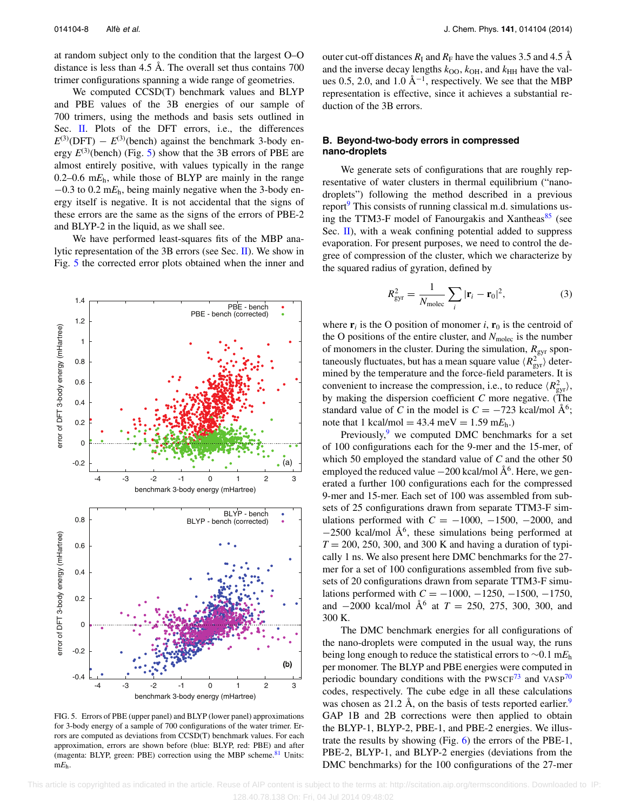at random subject only to the condition that the largest O–O distance is less than 4.5 Å. The overall set thus contains 700 trimer configurations spanning a wide range of geometries.

We computed CCSD(T) benchmark values and BLYP and PBE values of the 3B energies of our sample of 700 trimers, using the methods and basis sets outlined in Sec. [II.](#page-2-0) Plots of the DFT errors, i.e., the differences  $E^{(3)}$ (DFT) –  $E^{(3)}$ (bench) against the benchmark 3-body energy  $E^{(3)}$ (bench) (Fig. [5\)](#page-8-0) show that the 3B errors of PBE are almost entirely positive, with values typically in the range 0.2–0.6 m $E_h$ , while those of BLYP are mainly in the range −0.3 to 0.2 m*E*h, being mainly negative when the 3-body energy itself is negative. It is not accidental that the signs of these errors are the same as the signs of the errors of PBE-2 and BLYP-2 in the liquid, as we shall see.

We have performed least-squares fits of the MBP analytic representation of the 3B errors (see Sec. [II\)](#page-2-0). We show in Fig. [5](#page-8-0) the corrected error plots obtained when the inner and

<span id="page-8-0"></span>

FIG. 5. Errors of PBE (upper panel) and BLYP (lower panel) approximations for 3-body energy of a sample of 700 configurations of the water trimer. Errors are computed as deviations from CCSD(T) benchmark values. For each approximation, errors are shown before (blue: BLYP, red: PBE) and after (magenta: BLYP, green: PBE) correction using the MBP scheme.<sup>81</sup> Units: m*E*h.

outer cut-off distances  $R_I$  and  $R_F$  have the values 3.5 and 4.5 Å and the inverse decay lengths  $k_{\text{OO}}$ ,  $k_{\text{OH}}$ , and  $k_{\text{HH}}$  have the values 0.5, 2.0, and 1.0 Å<sup>-1</sup>, respectively. We see that the MBP representation is effective, since it achieves a substantial reduction of the 3B errors.

# <span id="page-8-2"></span>**B. Beyond-two-body errors in compressed nano-droplets**

We generate sets of configurations that are roughly representative of water clusters in thermal equilibrium ("nanodroplets") following the method described in a previous report $9$  This consists of running classical m.d. simulations using the TTM3-F model of Fanourgakis and Xantheas $85$  (see Sec. [II\)](#page-2-0), with a weak confining potential added to suppress evaporation. For present purposes, we need to control the degree of compression of the cluster, which we characterize by the squared radius of gyration, defined by

<span id="page-8-1"></span>
$$
R_{\rm gyr}^2 = \frac{1}{N_{\rm molec}} \sum_i |\mathbf{r}_i - \mathbf{r}_0|^2, \tag{3}
$$

where  $\mathbf{r}_i$  is the O position of monomer *i*,  $\mathbf{r}_0$  is the centroid of the O positions of the entire cluster, and *N*molec is the number of monomers in the cluster. During the simulation,  $R_{\text{gyr}}$  spontaneously fluctuates, but has a mean square value  $\langle R_{\text{gyr}}^2 \rangle$  determined by the temperature and the force-field parameters. It is convenient to increase the compression, i.e., to reduce  $\langle R_{\rm gyr}^2 \rangle$ , by making the dispersion coefficient *C* more negative. (The standard value of *C* in the model is  $C = -723$  kcal/mol  $\AA^6$ ; note that 1 kcal/mol =  $43.4 \text{ meV} = 1.59 \text{ m}E_h$ .)

Previously, $9$  we computed DMC benchmarks for a set of 100 configurations each for the 9-mer and the 15-mer, of which 50 employed the standard value of *C* and the other 50 employed the reduced value  $-200$  kcal/mol  $\AA^6$ . Here, we generated a further 100 configurations each for the compressed 9-mer and 15-mer. Each set of 100 was assembled from subsets of 25 configurations drawn from separate TTM3-F simulations performed with  $C = -1000, -1500, -2000,$  and  $-2500$  kcal/mol Å<sup>6</sup>, these simulations being performed at  $T = 200, 250, 300,$  and 300 K and having a duration of typically 1 ns. We also present here DMC benchmarks for the 27 mer for a set of 100 configurations assembled from five subsets of 20 configurations drawn from separate TTM3-F simulations performed with *C* = −1000, −1250, −1500, −1750, and  $-2000$  kcal/mol  $\AA^6$  at  $T = 250, 275, 300, 300,$  and 300 K.

The DMC benchmark energies for all configurations of the nano-droplets were computed in the usual way, the runs being long enough to reduce the statistical errors to ∼0.1 m*E*<sup>h</sup> per monomer. The BLYP and PBE energies were computed in periodic boundary conditions with the PWSCF $^{73}$  $^{73}$  $^{73}$  and VASP $^{70}$  $^{70}$  $^{70}$ codes, respectively. The cube edge in all these calculations was chosen as 21.2 Å, on the basis of tests reported earlier.<sup>[9](#page-12-3)</sup> GAP 1B and 2B corrections were then applied to obtain the BLYP-1, BLYP-2, PBE-1, and PBE-2 energies. We illustrate the results by showing (Fig. [6\)](#page-9-0) the errors of the PBE-1, PBE-2, BLYP-1, and BLYP-2 energies (deviations from the DMC benchmarks) for the 100 configurations of the 27-mer

 This article is copyrighted as indicated in the article. Reuse of AIP content is subject to the terms at: http://scitation.aip.org/termsconditions. Downloaded to IP: 128.40.78.138 On: Fri, 04 Jul 2014 09:48:02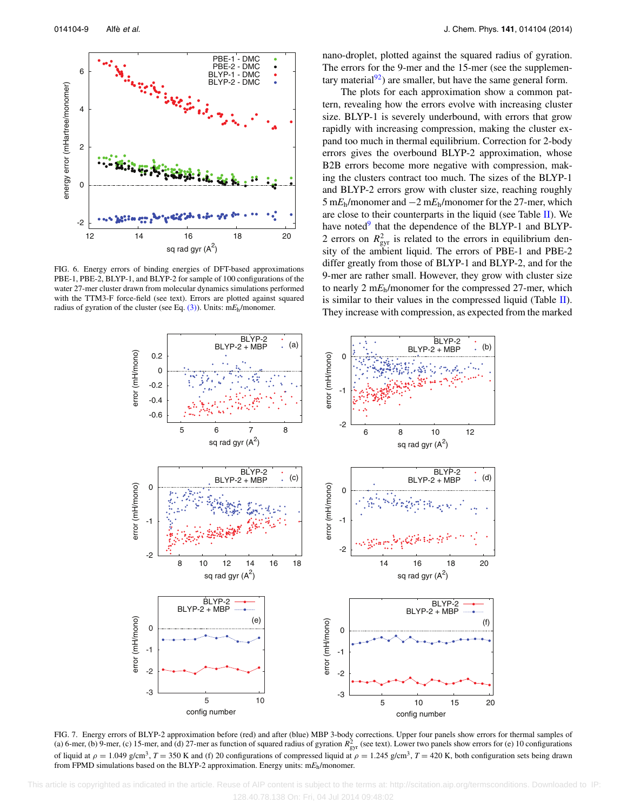<span id="page-9-0"></span>

FIG. 6. Energy errors of binding energies of DFT-based approximations PBE-1, PBE-2, BLYP-1, and BLYP-2 for sample of 100 configurations of the water 27-mer cluster drawn from molecular dynamics simulations performed with the TTM3-F force-field (see text). Errors are plotted against squared radius of gyration of the cluster (see Eq. [\(3\)\)](#page-8-1). Units: m*E*h/monomer.

nano-droplet, plotted against the squared radius of gyration. The errors for the 9-mer and the 15-mer (see the supplementary material $^{92}$ ) are smaller, but have the same general form.

The plots for each approximation show a common pattern, revealing how the errors evolve with increasing cluster size. BLYP-1 is severely underbound, with errors that grow rapidly with increasing compression, making the cluster expand too much in thermal equilibrium. Correction for 2-body errors gives the overbound BLYP-2 approximation, whose B2B errors become more negative with compression, making the clusters contract too much. The sizes of the BLYP-1 and BLYP-2 errors grow with cluster size, reaching roughly 5 m*E*h/monomer and −2 m*E*h/monomer for the 27-mer, which are close to their counterparts in the liquid (see Table  $II$ ). We have noted $9$  that the dependence of the BLYP-1 and BLYP-2 errors on  $R_{\text{gyr}}^2$  is related to the errors in equilibrium density of the ambient liquid. The errors of PBE-1 and PBE-2 differ greatly from those of BLYP-1 and BLYP-2, and for the 9-mer are rather small. However, they grow with cluster size to nearly 2 m*E*h/monomer for the compressed 27-mer, which is similar to their values in the compressed liquid (Table  $II$ ). They increase with compression, as expected from the marked

<span id="page-9-1"></span>

FIG. 7. Energy errors of BLYP-2 approximation before (red) and after (blue) MBP 3-body corrections. Upper four panels show errors for thermal samples of (a) 6-mer, (b) 9-mer, (c) 15-mer, and (d) 27-mer as function of squared radius of gyration  $R_{gyr}^2$  (see text). Lower two panels show errors for (e) 10 configurations of liquid at  $\rho = 1.049$  g/cm<sup>3</sup>,  $T = 350$  K and (f) 20 configurations of compressed liquid at  $\rho = 1.245$  g/cm<sup>3</sup>,  $T = 420$  K, both configuration sets being drawn from FPMD simulations based on the BLYP-2 approximation. Energy units: m*E*h/monomer.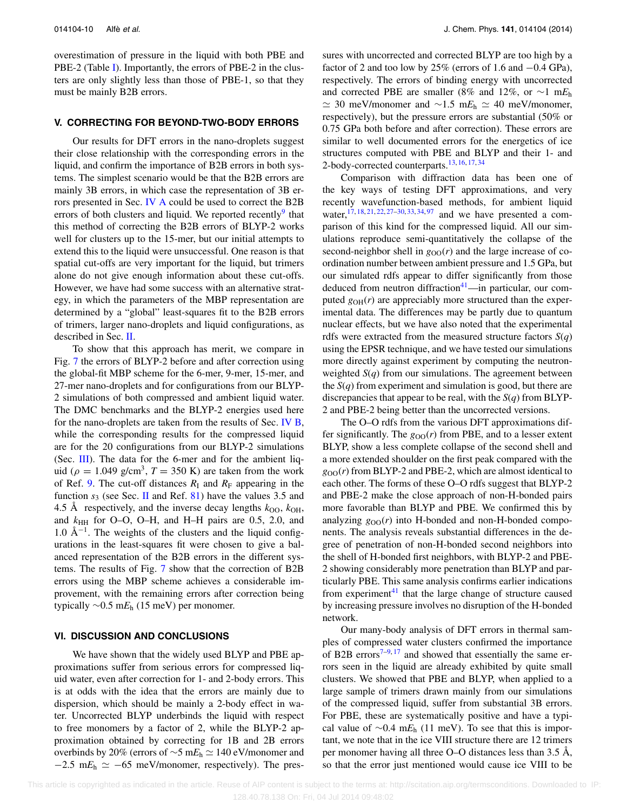overestimation of pressure in the liquid with both PBE and PBE-2 (Table [I\)](#page-4-2). Importantly, the errors of PBE-2 in the clusters are only slightly less than those of PBE-1, so that they must be mainly B2B errors.

#### **V. CORRECTING FOR BEYOND-TWO-BODY ERRORS**

Our results for DFT errors in the nano-droplets suggest their close relationship with the corresponding errors in the liquid, and confirm the importance of B2B errors in both systems. The simplest scenario would be that the B2B errors are mainly 3B errors, in which case the representation of 3B er-rors presented in Sec. [IV A](#page-7-1) could be used to correct the B2B errors of both clusters and liquid. We reported recently<sup>9</sup> that this method of correcting the B2B errors of BLYP-2 works well for clusters up to the 15-mer, but our initial attempts to extend this to the liquid were unsuccessful. One reason is that spatial cut-offs are very important for the liquid, but trimers alone do not give enough information about these cut-offs. However, we have had some success with an alternative strategy, in which the parameters of the MBP representation are determined by a "global" least-squares fit to the B2B errors of trimers, larger nano-droplets and liquid configurations, as described in Sec. [II.](#page-2-0)

To show that this approach has merit, we compare in Fig. [7](#page-9-1) the errors of BLYP-2 before and after correction using the global-fit MBP scheme for the 6-mer, 9-mer, 15-mer, and 27-mer nano-droplets and for configurations from our BLYP-2 simulations of both compressed and ambient liquid water. The DMC benchmarks and the BLYP-2 energies used here for the nano-droplets are taken from the results of Sec. [IV B,](#page-8-2) while the corresponding results for the compressed liquid are for the 20 configurations from our BLYP-2 simulations (Sec. [III\)](#page-4-0). The data for the 6-mer and for the ambient liquid ( $\rho = 1.049$  g/cm<sup>3</sup>,  $T = 350$  K) are taken from the work of Ref. [9.](#page-12-3) The cut-off distances  $R_I$  and  $R_F$  appearing in the function  $s_3$  (see Sec. [II](#page-2-0) and Ref. [81\)](#page-12-58) have the values 3.5 and 4.5 Å respectively, and the inverse decay lengths  $k_{\text{OO}}$ ,  $k_{\text{OH}}$ , and  $k_{HH}$  for O–O, O–H, and H–H pairs are 0.5, 2.0, and  $1.0 \text{ Å}^{-1}$ . The weights of the clusters and the liquid configurations in the least-squares fit were chosen to give a balanced representation of the B2B errors in the different systems. The results of Fig. [7](#page-9-1) show that the correction of B2B errors using the MBP scheme achieves a considerable improvement, with the remaining errors after correction being typically ∼0.5 m*E*<sup>h</sup> (15 meV) per monomer.

#### <span id="page-10-0"></span>**VI. DISCUSSION AND CONCLUSIONS**

We have shown that the widely used BLYP and PBE approximations suffer from serious errors for compressed liquid water, even after correction for 1- and 2-body errors. This is at odds with the idea that the errors are mainly due to dispersion, which should be mainly a 2-body effect in water. Uncorrected BLYP underbinds the liquid with respect to free monomers by a factor of 2, while the BLYP-2 approximation obtained by correcting for 1B and 2B errors overbinds by 20% (errors of ∼5 m*E*<sub>h</sub>  $\simeq$  140 eV/monomer and  $-2.5$  m $E_h \simeq -65$  meV/monomer, respectively). The pressures with uncorrected and corrected BLYP are too high by a factor of 2 and too low by 25% (errors of 1.6 and −0.4 GPa), respectively. The errors of binding energy with uncorrected and corrected PBE are smaller (8% and 12%, or ∼1 m*E*<sup>h</sup>  $\simeq$  30 meV/monomer and  $\sim$ 1.5 m*E*<sub>h</sub>  $\simeq$  40 meV/monomer, respectively), but the pressure errors are substantial (50% or 0.75 GPa both before and after correction). These errors are similar to well documented errors for the energetics of ice structures computed with PBE and BLYP and their 1- and 2-body-corrected counterparts.<sup>13, [16,](#page-12-22) [17,](#page-12-5) [34](#page-12-28)</sup>

Comparison with diffraction data has been one of the key ways of testing DFT approximations, and very recently wavefunction-based methods, for ambient liquid water,  $17, 18, 21, 22, 27-30, 33, 34, 97$  $17, 18, 21, 22, 27-30, 33, 34, 97$  $17, 18, 21, 22, 27-30, 33, 34, 97$  $17, 18, 21, 22, 27-30, 33, 34, 97$  $17, 18, 21, 22, 27-30, 33, 34, 97$  $17, 18, 21, 22, 27-30, 33, 34, 97$  $17, 18, 21, 22, 27-30, 33, 34, 97$  $17, 18, 21, 22, 27-30, 33, 34, 97$  $17, 18, 21, 22, 27-30, 33, 34, 97$  $17, 18, 21, 22, 27-30, 33, 34, 97$  $17, 18, 21, 22, 27-30, 33, 34, 97$  $17, 18, 21, 22, 27-30, 33, 34, 97$  $17, 18, 21, 22, 27-30, 33, 34, 97$  $17, 18, 21, 22, 27-30, 33, 34, 97$  $17, 18, 21, 22, 27-30, 33, 34, 97$  and we have presented a comparison of this kind for the compressed liquid. All our simulations reproduce semi-quantitatively the collapse of the second-neighbor shell in  $g_{OO}(r)$  and the large increase of coordination number between ambient pressure and 1.5 GPa, but our simulated rdfs appear to differ significantly from those deduced from neutron diffraction $41$ —in particular, our computed  $g<sub>OH</sub>(r)$  are appreciably more structured than the experimental data. The differences may be partly due to quantum nuclear effects, but we have also noted that the experimental rdfs were extracted from the measured structure factors *S*(*q*) using the EPSR technique, and we have tested our simulations more directly against experiment by computing the neutronweighted *S*(*q*) from our simulations. The agreement between the *S*(*q*) from experiment and simulation is good, but there are discrepancies that appear to be real, with the *S*(*q*) from BLYP-2 and PBE-2 being better than the uncorrected versions.

The O–O rdfs from the various DFT approximations differ significantly. The  $g_{OO}(r)$  from PBE, and to a lesser extent BLYP, show a less complete collapse of the second shell and a more extended shoulder on the first peak compared with the  $g_{OO}(r)$  from BLYP-2 and PBE-2, which are almost identical to each other. The forms of these O–O rdfs suggest that BLYP-2 and PBE-2 make the close approach of non-H-bonded pairs more favorable than BLYP and PBE. We confirmed this by analyzing  $g_{OO}(r)$  into H-bonded and non-H-bonded components. The analysis reveals substantial differences in the degree of penetration of non-H-bonded second neighbors into the shell of H-bonded first neighbors, with BLYP-2 and PBE-2 showing considerably more penetration than BLYP and particularly PBE. This same analysis confirms earlier indications from experiment $^{41}$  $^{41}$  $^{41}$  that the large change of structure caused by increasing pressure involves no disruption of the H-bonded network.

Our many-body analysis of DFT errors in thermal samples of compressed water clusters confirmed the importance of B2B errors<sup>[7–](#page-12-25)[9,](#page-12-3) [17](#page-12-5)</sup> and showed that essentially the same errors seen in the liquid are already exhibited by quite small clusters. We showed that PBE and BLYP, when applied to a large sample of trimers drawn mainly from our simulations of the compressed liquid, suffer from substantial 3B errors. For PBE, these are systematically positive and have a typical value of ∼0.4 m*E*<sup>h</sup> (11 meV). To see that this is important, we note that in the ice VIII structure there are 12 trimers per monomer having all three O–O distances less than 3.5 Å, so that the error just mentioned would cause ice VIII to be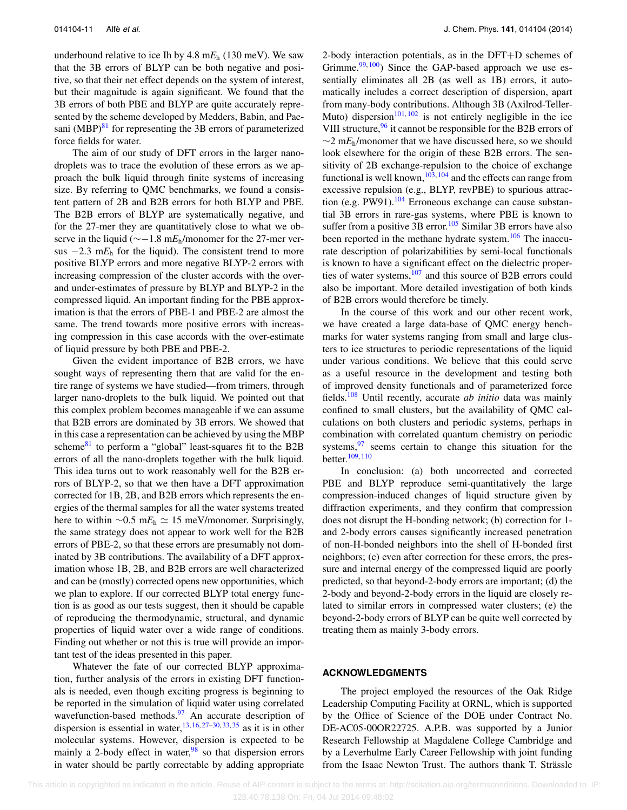underbound relative to ice Ih by 4.8 m*E*<sup>h</sup> (130 meV). We saw that the 3B errors of BLYP can be both negative and positive, so that their net effect depends on the system of interest, but their magnitude is again significant. We found that the 3B errors of both PBE and BLYP are quite accurately represented by the scheme developed by Medders, Babin, and Paesani  $(MBP)^{81}$  $(MBP)^{81}$  $(MBP)^{81}$  for representing the 3B errors of parameterized force fields for water.

The aim of our study of DFT errors in the larger nanodroplets was to trace the evolution of these errors as we approach the bulk liquid through finite systems of increasing size. By referring to QMC benchmarks, we found a consistent pattern of 2B and B2B errors for both BLYP and PBE. The B2B errors of BLYP are systematically negative, and for the 27-mer they are quantitatively close to what we observe in the liquid (∼−1.8 m*E*h/monomer for the 27-mer versus  $-2.3$  m $E_h$  for the liquid). The consistent trend to more positive BLYP errors and more negative BLYP-2 errors with increasing compression of the cluster accords with the overand under-estimates of pressure by BLYP and BLYP-2 in the compressed liquid. An important finding for the PBE approximation is that the errors of PBE-1 and PBE-2 are almost the same. The trend towards more positive errors with increasing compression in this case accords with the over-estimate of liquid pressure by both PBE and PBE-2.

Given the evident importance of B2B errors, we have sought ways of representing them that are valid for the entire range of systems we have studied—from trimers, through larger nano-droplets to the bulk liquid. We pointed out that this complex problem becomes manageable if we can assume that B2B errors are dominated by 3B errors. We showed that in this case a representation can be achieved by using the MBP scheme $81$  to perform a "global" least-squares fit to the B2B errors of all the nano-droplets together with the bulk liquid. This idea turns out to work reasonably well for the B2B errors of BLYP-2, so that we then have a DFT approximation corrected for 1B, 2B, and B2B errors which represents the energies of the thermal samples for all the water systems treated here to within  $\sim 0.5$  m $E_h \simeq 15$  meV/monomer. Surprisingly, the same strategy does not appear to work well for the B2B errors of PBE-2, so that these errors are presumably not dominated by 3B contributions. The availability of a DFT approximation whose 1B, 2B, and B2B errors are well characterized and can be (mostly) corrected opens new opportunities, which we plan to explore. If our corrected BLYP total energy function is as good as our tests suggest, then it should be capable of reproducing the thermodynamic, structural, and dynamic properties of liquid water over a wide range of conditions. Finding out whether or not this is true will provide an important test of the ideas presented in this paper.

Whatever the fate of our corrected BLYP approximation, further analysis of the errors in existing DFT functionals is needed, even though exciting progress is beginning to be reported in the simulation of liquid water using correlated wavefunction-based methods. $\frac{97}{9}$  $\frac{97}{9}$  $\frac{97}{9}$  An accurate description of dispersion is essential in water,  $13, 16, 27-30, 33, 35$  $13, 16, 27-30, 33, 35$  $13, 16, 27-30, 33, 35$  $13, 16, 27-30, 33, 35$  $13, 16, 27-30, 33, 35$  $13, 16, 27-30, 33, 35$  $13, 16, 27-30, 33, 35$  $13, 16, 27-30, 33, 35$  $13, 16, 27-30, 33, 35$  as it is in other molecular systems. However, dispersion is expected to be mainly a 2-body effect in water,  $\frac{98}{98}$  $\frac{98}{98}$  $\frac{98}{98}$  so that dispersion errors in water should be partly correctable by adding appropriate

2-body interaction potentials, as in the DFT+D schemes of Grimme. $99,100$  $99,100$ ) Since the GAP-based approach we use essentially eliminates all 2B (as well as 1B) errors, it automatically includes a correct description of dispersion, apart from many-body contributions. Although 3B (Axilrod-Teller-Muto) dispersion<sup>[101,](#page-13-18) [102](#page-13-19)</sup> is not entirely negligible in the ice VIII structure,<sup>[96](#page-13-13)</sup> it cannot be responsible for the B2B errors of ∼2 m*E*h/monomer that we have discussed here, so we should look elsewhere for the origin of these B2B errors. The sensitivity of 2B exchange-repulsion to the choice of exchange functional is well known,  $103, 104$  $103, 104$  $103, 104$  and the effects can range from excessive repulsion (e.g., BLYP, revPBE) to spurious attraction (e.g. PW91). $104$  Erroneous exchange can cause substantial 3B errors in rare-gas systems, where PBE is known to suffer from a positive  $3B$  error.<sup>[105](#page-13-22)</sup> Similar 3B errors have also been reported in the methane hydrate system.<sup>[106](#page-13-23)</sup> The inaccurate description of polarizabilities by semi-local functionals is known to have a significant effect on the dielectric properties of water systems, $107$  and this source of B2B errors could also be important. More detailed investigation of both kinds of B2B errors would therefore be timely.

In the course of this work and our other recent work, we have created a large data-base of QMC energy benchmarks for water systems ranging from small and large clusters to ice structures to periodic representations of the liquid under various conditions. We believe that this could serve as a useful resource in the development and testing both of improved density functionals and of parameterized force fields.[108](#page-13-25) Until recently, accurate *ab initio* data was mainly confined to small clusters, but the availability of QMC calculations on both clusters and periodic systems, perhaps in combination with correlated quantum chemistry on periodic systems, $97$  seems certain to change this situation for the better.[109,](#page-13-26) [110](#page-13-27)

In conclusion: (a) both uncorrected and corrected PBE and BLYP reproduce semi-quantitatively the large compression-induced changes of liquid structure given by diffraction experiments, and they confirm that compression does not disrupt the H-bonding network; (b) correction for 1 and 2-body errors causes significantly increased penetration of non-H-bonded neighbors into the shell of H-bonded first neighbors; (c) even after correction for these errors, the pressure and internal energy of the compressed liquid are poorly predicted, so that beyond-2-body errors are important; (d) the 2-body and beyond-2-body errors in the liquid are closely related to similar errors in compressed water clusters; (e) the beyond-2-body errors of BLYP can be quite well corrected by treating them as mainly 3-body errors.

#### **ACKNOWLEDGMENTS**

The project employed the resources of the Oak Ridge Leadership Computing Facility at ORNL, which is supported by the Office of Science of the DOE under Contract No. DE-AC05-00OR22725. A.P.B. was supported by a Junior Research Fellowship at Magdalene College Cambridge and by a Leverhulme Early Career Fellowship with joint funding from the Isaac Newton Trust. The authors thank T. Strässle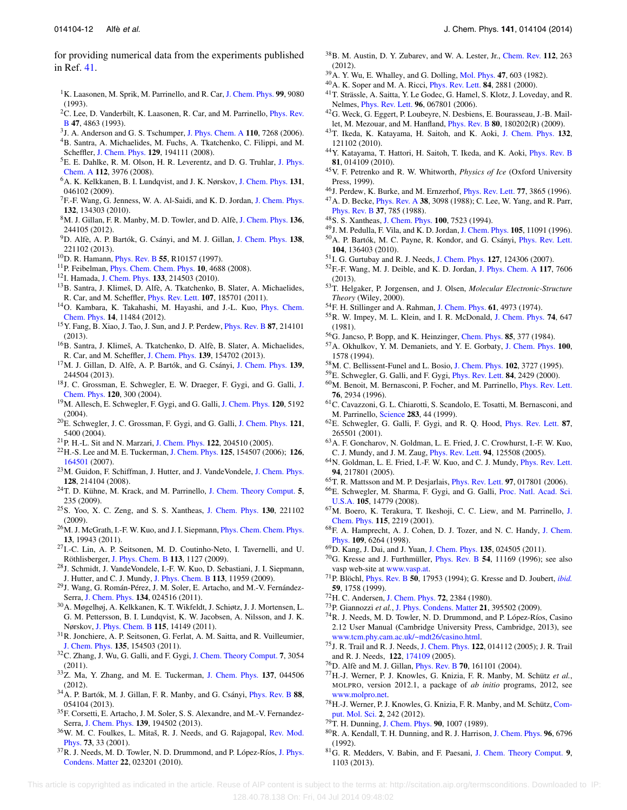- <span id="page-12-0"></span><sup>1</sup>K. Laasonen, M. Sprik, M. Parrinello, and R. Car, [J. Chem. Phys.](http://dx.doi.org/10.1063/1.465574) 99, 9080 (1993).
- <span id="page-12-1"></span><sup>2</sup>C. Lee, D. Vanderbilt, K. Laasonen, R. Car, and M. Parrinello, *[Phys. Rev.](http://dx.doi.org/10.1103/PhysRevB.47.4863)* [B](http://dx.doi.org/10.1103/PhysRevB.47.4863) **47**, 4863 (1993).
- <span id="page-12-19"></span><span id="page-12-2"></span>3J. A. Anderson and G. S. Tschumper, [J. Phys. Chem. A](http://dx.doi.org/10.1021/jp0613889) **110**, 7268 (2006).
- 4B. Santra, A. Michaelides, M. Fuchs, A. Tkatchenko, C. Filippi, and M. Scheffler, [J. Chem. Phys.](http://dx.doi.org/10.1063/1.3012573) **129**, 194111 (2008).
- 5E. E. Dahlke, R. M. Olson, H. R. Leverentz, and D. G. Truhlar, [J. Phys.](http://dx.doi.org/10.1021/jp077376k) [Chem. A](http://dx.doi.org/10.1021/jp077376k) **112**, 3976 (2008).
- <span id="page-12-21"></span>6A. K. Kelkkanen, B. I. Lundqvist, and J. K. Nørskov, [J. Chem. Phys.](http://dx.doi.org/10.1063/1.3193462) **131**, 046102 (2009).
- <span id="page-12-25"></span><sup>7</sup>F.-F. Wang, G. Jenness, W. A. Al-Saidi, and K. D. Jordan, [J. Chem. Phys.](http://dx.doi.org/10.1063/1.3373815) **132**, 134303 (2010).
- <span id="page-12-20"></span>8M. J. Gillan, F. R. Manby, M. D. Towler, and D. Alfè, [J. Chem. Phys.](http://dx.doi.org/10.1063/1.4730035) **136**, 244105 (2012).
- <span id="page-12-3"></span>9D. Alfè, A. P. Bartók, G. Csányi, and M. J. Gillan, [J. Chem. Phys.](http://dx.doi.org/10.1063/1.4810882) **138**, 221102 (2013).
- <span id="page-12-4"></span>10D. R. Hamann, [Phys. Rev. B](http://dx.doi.org/10.1103/PhysRevB.55.R10157) **55**, R10157 (1997).
- 11P. Feibelman, [Phys. Chem. Chem. Phys.](http://dx.doi.org/10.1039/b808482n) **10**, 4688 (2008).
- <span id="page-12-13"></span>12I. Hamada, [J. Chem. Phys.](http://dx.doi.org/10.1063/1.3507916) **133**, 214503 (2010).
- 13B. Santra, J. Klimeš, D. Alfè, A. Tkatchenko, B. Slater, A. Michaelides, R. Car, and M. Scheffler, [Phys. Rev. Lett.](http://dx.doi.org/10.1103/PhysRevLett.107.185701) **107**, 185701 (2011).
- 14O. Kambara, K. Takahashi, M. Hayashi, and J.-L. Kuo, [Phys. Chem.](http://dx.doi.org/10.1039/c2cp41495c) [Chem. Phys.](http://dx.doi.org/10.1039/c2cp41495c) **14**, 11484 (2012).
- 15Y. Fang, B. Xiao, J. Tao, J. Sun, and J. P. Perdew, [Phys. Rev. B](http://dx.doi.org/10.1103/PhysRevB.87.214101) **87**, 214101 (2013).
- <span id="page-12-22"></span>16B. Santra, J. Klimeš, A. Tkatchenko, D. Alfè, B. Slater, A. Michaelides, R. Car, and M. Scheffler, [J. Chem. Phys.](http://dx.doi.org/10.1063/1.4824481) **139**, 154702 (2013).
- <span id="page-12-5"></span>17M. J. Gillan, D. Alfè, A. P. Bartók, and G. Csányi, [J. Chem. Phys.](http://dx.doi.org/10.1063/1.4852182) **139**, 244504 (2013).
- <span id="page-12-6"></span>18J. C. Grossman, E. Schwegler, E. W. Draeger, F. Gygi, and G. Galli, [J.](http://dx.doi.org/10.1063/1.1630560) [Chem. Phys.](http://dx.doi.org/10.1063/1.1630560) **120**, 300 (2004).
- 19M. Allesch, E. Schwegler, F. Gygi, and G. Galli, [J. Chem. Phys.](http://dx.doi.org/10.1063/1.1647529) **120**, 5192  $(2004)$ .
- 20E. Schwegler, J. C. Grossman, F. Gygi, and G. Galli, [J. Chem. Phys.](http://dx.doi.org/10.1063/1.1782074) **121**, 5400 (2004).
- <span id="page-12-60"></span><span id="page-12-59"></span>21P. H.-L. Sit and N. Marzari, [J. Chem. Phys.](http://dx.doi.org/10.1063/1.1908913) **122**, 204510 (2005).
- 22H.-S. Lee and M. E. Tuckerman, [J. Chem. Phys.](http://dx.doi.org/10.1063/1.2354158) **125**, 154507 (2006); **126**, [164501](http://dx.doi.org/10.1063/1.2718521) (2007).
- 23M. Guidon, F. Schiffman, J. Hutter, and J. VandeVondele, [J. Chem. Phys.](http://dx.doi.org/10.1063/1.2931945) **128**, 214104 (2008).
- 24T. D. Kühne, M. Krack, and M. Parrinello, [J. Chem. Theory Comput.](http://dx.doi.org/10.1021/ct800417q) **5**, 235 (2009).
- 25S. Yoo, X. C. Zeng, and S. S. Xantheas, [J. Chem. Phys.](http://dx.doi.org/10.1063/1.3153871) **130**, 221102 (2009).
- <sup>26</sup>M. J. McGrath, I.-F. W. Kuo, and J. I. Siepmann, *[Phys. Chem. Chem. Phys.](http://dx.doi.org/10.1039/c1cp21890e)* **13**, 19943 (2011).
- <span id="page-12-23"></span>27I.-C. Lin, A. P. Seitsonen, M. D. Coutinho-Neto, I. Tavernelli, and U. Röthlisberger, [J. Phys. Chem. B](http://dx.doi.org/10.1021/jp806376e) **113**, 1127 (2009).
- <span id="page-12-16"></span>28J. Schmidt, J. VandeVondele, I.-F. W. Kuo, D. Sebastiani, J. I. Siepmann, J. Hutter, and C. J. Mundy, [J. Phys. Chem. B](http://dx.doi.org/10.1021/jp901990u) **113**, 11959 (2009).
- <span id="page-12-17"></span>29J. Wang, G. Román-Pérez, J. M. Soler, E. Artacho, and M.-V. Fernández-Serra, [J. Chem. Phys.](http://dx.doi.org/10.1063/1.3521268) **134**, 024516 (2011).
- <span id="page-12-24"></span>30A. Møgelhøj, A. Kelkkanen, K. T. Wikfeldt, J. Schiøtz, J. J. Mortensen, L. G. M. Pettersson, B. I. Lundqvist, K. W. Jacobsen, A. Nilsson, and J. K. Nørskov, [J. Phys. Chem. B](http://dx.doi.org/10.1021/jp2040345) **115**, 14149 (2011).
- 31R. Jonchiere, A. P. Seitsonen, G. Ferlat, A. M. Saitta, and R. Vuilleumier, [J. Chem. Phys.](http://dx.doi.org/10.1063/1.3651474) **135**, 154503 (2011).
- 32C. Zhang, J. Wu, G. Galli, and F. Gygi, [J. Chem. Theory Comput.](http://dx.doi.org/10.1021/ct200329e) **7**, 3054 (2011).
- <span id="page-12-18"></span>33Z. Ma, Y. Zhang, and M. E. Tuckerman, [J. Chem. Phys.](http://dx.doi.org/10.1063/1.4736712) **137**, 044506 (2012).
- <span id="page-12-28"></span>34A. P. Bartók, M. J. Gillan, F. R. Manby, and G. Csányi, [Phys. Rev. B](http://dx.doi.org/10.1103/PhysRevB.88.054104) **88**, 054104 (2013).
- <span id="page-12-7"></span>35F. Corsetti, E. Artacho, J. M. Soler, S. S. Alexandre, and M.-V. Fernandez-Serra, [J. Chem. Phys.](http://dx.doi.org/10.1063/1.4832141) **139**, 194502 (2013).
- <span id="page-12-8"></span><sup>36</sup>W. M. C. Foulkes, L. Mitaš, R. J. Needs, and G. Rajagopal, [Rev. Mod.](http://dx.doi.org/10.1103/RevModPhys.73.33) [Phys.](http://dx.doi.org/10.1103/RevModPhys.73.33) **73**, 33 (2001).
- 37R. J. Needs, M. D. Towler, N. D. Drummond, and P. López-Ríos, [J. Phys.](http://dx.doi.org/10.1088/0953-8984/22/2/023201) [Condens. Matter](http://dx.doi.org/10.1088/0953-8984/22/2/023201) **22**, 023201 (2010).
- <span id="page-12-9"></span>38B. M. Austin, D. Y. Zubarev, and W. A. Lester, Jr., [Chem. Rev.](http://dx.doi.org/10.1021/cr2001564) **112**, 263  $(2012)$ .
- <span id="page-12-37"></span><span id="page-12-10"></span>39A. Y. Wu, E. Whalley, and G. Dolling, [Mol. Phys.](http://dx.doi.org/10.1080/00268978200100442) **47**, 603 (1982).
- <span id="page-12-38"></span>40A. K. Soper and M. A. Ricci, [Phys. Rev. Lett.](http://dx.doi.org/10.1103/PhysRevLett.84.2881) **84**, 2881 (2000).
- 41T. Strässle, A. Saitta, Y. Le Godec, G. Hamel, S. Klotz, J. Loveday, and R. Nelmes, [Phys. Rev. Lett.](http://dx.doi.org/10.1103/PhysRevLett.96.067801) **96**, 067801 (2006).
- <span id="page-12-35"></span>42G. Weck, G. Eggert, P. Loubeyre, N. Desbiens, E. Bourasseau, J.-B. Maillet, M. Mezouar, and M. Hanfland, [Phys. Rev. B](http://dx.doi.org/10.1103/PhysRevB.80.180202) **80**, 180202(R) (2009).
- <span id="page-12-44"></span>43T. Ikeda, K. Katayama, H. Saitoh, and K. Aoki, [J. Chem. Phys.](http://dx.doi.org/10.1063/1.3374812) **132**, 121102 (2010).
- <span id="page-12-11"></span>44Y. Katayama, T. Hattori, H. Saitoh, T. Ikeda, and K. Aoki, [Phys. Rev. B](http://dx.doi.org/10.1103/PhysRevB.81.014109) **81**, 014109 (2010).
- <span id="page-12-12"></span>45V. F. Petrenko and R. W. Whitworth, *Physics of Ice* (Oxford University Press, 1999).
- <span id="page-12-15"></span><span id="page-12-14"></span>46J. Perdew, K. Burke, and M. Ernzerhof, [Phys. Rev. Lett.](http://dx.doi.org/10.1103/PhysRevLett.77.3865) **77**, 3865 (1996).
- 47A. D. Becke, [Phys. Rev. A](http://dx.doi.org/10.1103/PhysRevA.38.3098) **38**, 3098 (1988); C. Lee, W. Yang, and R. Parr, [Phys. Rev. B](http://dx.doi.org/10.1103/PhysRevB.37.785) **37**, 785 (1988).
- <span id="page-12-27"></span><span id="page-12-26"></span>48S. S. Xantheas, [J. Chem. Phys.](http://dx.doi.org/10.1063/1.466846) **100**, 7523 (1994).
- <span id="page-12-29"></span>49J. M. Pedulla, F. Vila, and K. D. Jordan, [J. Chem. Phys.](http://dx.doi.org/10.1063/1.472910) **105**, 11091 (1996).
- 50A. P. Bartók, M. C. Payne, R. Kondor, and G. Csányi, [Phys. Rev. Lett.](http://dx.doi.org/10.1103/PhysRevLett.104.136403) **104**, 136403 (2010).
- <span id="page-12-31"></span><span id="page-12-30"></span>51I. G. Gurtubay and R. J. Needs, [J. Chem. Phys.](http://dx.doi.org/10.1063/1.2770711) **127**, 124306 (2007).
- 52F.-F. Wang, M. J. Deible, and K. D. Jordan, [J. Phys. Chem. A](http://dx.doi.org/10.1021/jp404541c) **117**, 7606 (2013).
- <span id="page-12-32"></span>53T. Helgaker, P. Jorgensen, and J. Olsen, *Molecular Electronic-Structure Theory* (Wiley, 2000).
- <span id="page-12-33"></span>54F. H. Stillinger and A. Rahman, [J. Chem. Phys.](http://dx.doi.org/10.1063/1.1681836) **61**, 4973 (1974).
- 55R. W. Impey, M. L. Klein, and I. R. McDonald, [J. Chem. Phys.](http://dx.doi.org/10.1063/1.440823) **74**, 647 (1981).
- <span id="page-12-36"></span><span id="page-12-34"></span>56G. Jancso, P. Bopp, and K. Heinzinger, [Chem. Phys.](http://dx.doi.org/10.1016/0301-0104(84)85264-7) **85**, 377 (1984).
- 57A. Okhulkov, Y. M. Demaniets, and Y. E. Gorbaty, [J. Chem. Phys.](http://dx.doi.org/10.1063/1.466584) **100**, 1578 (1994).
- <span id="page-12-40"></span><span id="page-12-39"></span>58M. C. Bellissent-Funel and L. Bosio, [J. Chem. Phys.](http://dx.doi.org/10.1063/1.468555) **102**, 3727 (1995).
- <span id="page-12-41"></span>59E. Schwegler, G. Galli, and F. Gygi, [Phys. Rev. Lett.](http://dx.doi.org/10.1103/PhysRevLett.84.2429) **84**, 2429 (2000).
- 60M. Benoit, M. Bernasconi, P. Focher, and M. Parrinello, [Phys. Rev. Lett.](http://dx.doi.org/10.1103/PhysRevLett.76.2934) **76**, 2934 (1996).
- 61C. Cavazzoni, G. L. Chiarotti, S. Scandolo, E. Tosatti, M. Bernasconi, and M. Parrinello, [Science](http://dx.doi.org/10.1126/science.283.5398.44) **283**, 44 (1999).
- 62E. Schwegler, G. Galli, F. Gygi, and R. Q. Hood, [Phys. Rev. Lett.](http://dx.doi.org/10.1103/PhysRevLett.87.265501) **87**, 265501 (2001).
- 63A. F. Goncharov, N. Goldman, L. E. Fried, J. C. Crowhurst, I.-F. W. Kuo, C. J. Mundy, and J. M. Zaug, [Phys. Rev. Lett.](http://dx.doi.org/10.1103/PhysRevLett.94.125508) **94**, 125508 (2005).
- 64N. Goldman, L. E. Fried, I.-F. W. Kuo, and C. J. Mundy, [Phys. Rev. Lett.](http://dx.doi.org/10.1103/PhysRevLett.94.217801) **94**, 217801 (2005).
- <span id="page-12-42"></span>65T. R. Mattsson and M. P. Desjarlais, [Phys. Rev. Lett.](http://dx.doi.org/10.1103/PhysRevLett.97.017801) **97**, 017801 (2006).
- 66E. Schwegler, M. Sharma, F. Gygi, and G. Galli, [Proc. Natl. Acad. Sci.](http://dx.doi.org/10.1073/pnas.0808137105) [U.S.A.](http://dx.doi.org/10.1073/pnas.0808137105) **105**, 14779 (2008).
- <span id="page-12-43"></span>67M. Boero, K. Terakura, T. Ikeshoji, C. C. Liew, and M. Parrinello, [J.](http://dx.doi.org/10.1063/1.1379767) [Chem. Phys.](http://dx.doi.org/10.1063/1.1379767) **115**, 2219 (2001).
- <span id="page-12-45"></span>68F. A. Hamprecht, A. J. Cohen, D. J. Tozer, and N. C. Handy, [J. Chem.](http://dx.doi.org/10.1063/1.477267) [Phys.](http://dx.doi.org/10.1063/1.477267) **109**, 6264 (1998).
- <span id="page-12-47"></span><span id="page-12-46"></span>69D. Kang, J. Dai, and J. Yuan, [J. Chem. Phys.](http://dx.doi.org/10.1063/1.3608412) **135**, 024505 (2011).
- 70G. Kresse and J. Furthmüller, [Phys. Rev. B](http://dx.doi.org/10.1103/PhysRevB.54.11169) **54**, 11169 (1996); see also vasp web-site at [www.vasp.at.](http://www.vasp.at)
- <span id="page-12-48"></span>71P. Blöchl, [Phys. Rev. B](http://dx.doi.org/10.1103/PhysRevB.50.17953) **50**, 17953 (1994); G. Kresse and D. Joubert, *[ibid.](http://dx.doi.org/10.1103/PhysRevB.59.1758)* **59**, 1758 (1999).
- <span id="page-12-50"></span><span id="page-12-49"></span>72H. C. Andersen, [J. Chem. Phys.](http://dx.doi.org/10.1063/1.439486) **72**, 2384 (1980).
- <span id="page-12-51"></span>73P. Giannozzi *et al.*, [J. Phys. Condens. Matter](http://dx.doi.org/10.1088/0953-8984/21/39/395502) **21**, 395502 (2009).
- 74R. J. Needs, M. D. Towler, N. D. Drummond, and P. López-Ríos, Casino 2.12 User Manual (Cambridge University Press, Cambridge, 2013), see [www.tcm.phy.cam.ac.uk/~mdt26/casino.html.](http://www.tcm.phy.cam.ac.uk/~mdt26/casino.html)
- <span id="page-12-52"></span>75J. R. Trail and R. J. Needs, [J. Chem. Phys.](http://dx.doi.org/10.1063/1.1829049) **122**, 014112 (2005); J. R. Trail and R. J. Needs, **122**, [174109](http://dx.doi.org/10.1063/1.1888569) (2005).
- <span id="page-12-53"></span>76D. Alfè and M. J. Gillan, [Phys. Rev. B](http://dx.doi.org/10.1103/PhysRevB.70.161101) **70**, 161101 (2004).
- <span id="page-12-54"></span>77H.-J. Werner, P. J. Knowles, G. Knizia, F. R. Manby, M. Schütz *et al.*, MOLPRO, version 2012.1, a package of *ab initio* programs, 2012, see [www.molpro.net.](http://www.molpro.net)
- <span id="page-12-55"></span>78H.-J. Werner, P. J. Knowles, G. Knizia, F. R. Manby, and M. Schütz, [Com](http://dx.doi.org/10.1002/wcms.82)[put. Mol. Sci.](http://dx.doi.org/10.1002/wcms.82) **2**, 242 (2012).
- <span id="page-12-56"></span>79T. H. Dunning, [J. Chem. Phys.](http://dx.doi.org/10.1063/1.456153) **90**, 1007 (1989).
- <span id="page-12-57"></span>80R. A. Kendall, T. H. Dunning, and R. J. Harrison, [J. Chem. Phys.](http://dx.doi.org/10.1063/1.462569) **96**, 6796 (1992).
- <span id="page-12-58"></span>81G. R. Medders, V. Babin, and F. Paesani, [J. Chem. Theory Comput.](http://dx.doi.org/10.1021/ct300913g) **9**, 1103 (2013).